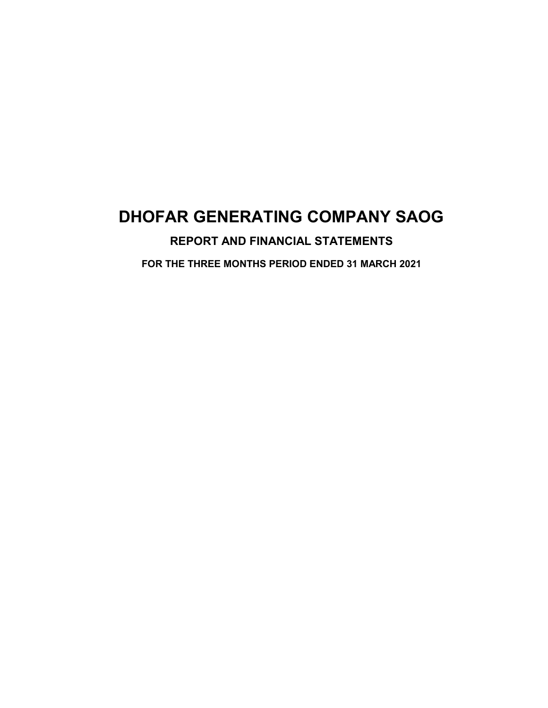# **REPORT AND FINANCIAL STATEMENTS**

**FOR THE THREE MONTHS PERIOD ENDED 31 MARCH 2021**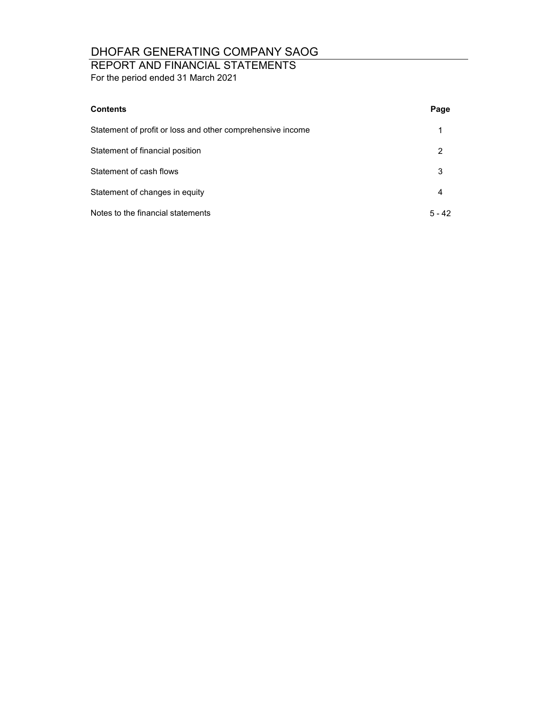# REPORT AND FINANCIAL STATEMENTS

For the period ended 31 March 2021

| <b>Contents</b>                                            | Page     |
|------------------------------------------------------------|----------|
| Statement of profit or loss and other comprehensive income |          |
| Statement of financial position                            | 2        |
| Statement of cash flows                                    | 3        |
| Statement of changes in equity                             | 4        |
| Notes to the financial statements                          | $5 - 42$ |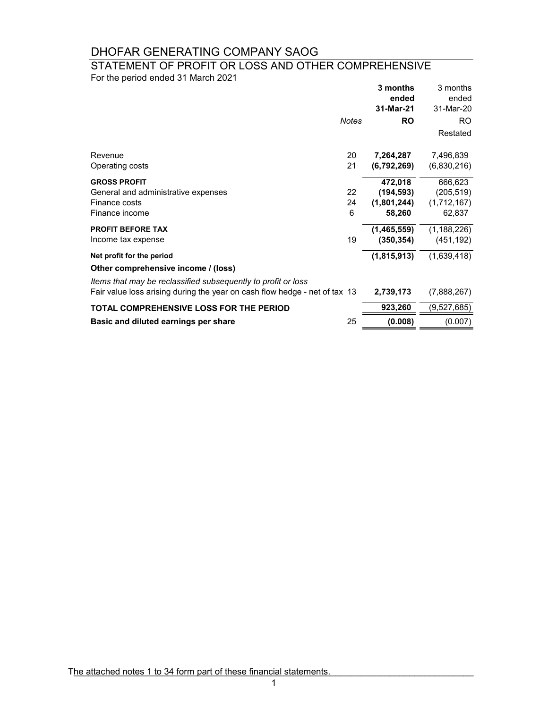# STATEMENT OF PROFIT OR LOSS AND OTHER COMPREHENSIVE

For the period ended 31 March 2021

|                                                                            |              | 3 months    | 3 months      |
|----------------------------------------------------------------------------|--------------|-------------|---------------|
|                                                                            |              | ended       | ended         |
|                                                                            |              | 31-Mar-21   | 31-Mar-20     |
|                                                                            | <b>Notes</b> | <b>RO</b>   | RO.           |
|                                                                            |              |             | Restated      |
| Revenue                                                                    | 20           | 7,264,287   | 7,496,839     |
| Operating costs                                                            | 21           | (6,792,269) | (6,830,216)   |
| <b>GROSS PROFIT</b>                                                        |              | 472,018     | 666,623       |
| General and administrative expenses                                        | 22           | (194, 593)  | (205, 519)    |
| Finance costs                                                              | 24           | (1,801,244) | (1,712,167)   |
| Finance income                                                             | 6            | 58,260      | 62,837        |
| <b>PROFIT BEFORE TAX</b>                                                   |              | (1,465,559) | (1, 188, 226) |
| Income tax expense                                                         | 19           | (350, 354)  | (451, 192)    |
| Net profit for the period                                                  |              | (1,815,913) | (1,639,418)   |
| Other comprehensive income / (loss)                                        |              |             |               |
| Items that may be reclassified subsequently to profit or loss              |              |             |               |
| Fair value loss arising during the year on cash flow hedge - net of tax 13 |              | 2,739,173   | (7,888,267)   |
| <b>TOTAL COMPREHENSIVE LOSS FOR THE PERIOD</b>                             |              | 923,260     | (9,527,685)   |
| Basic and diluted earnings per share                                       | 25           | (0.008)     | (0.007)       |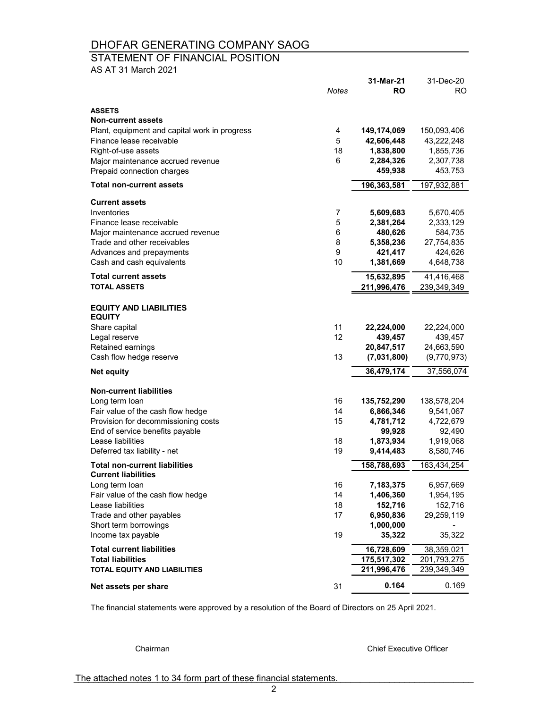# STATEMENT OF FINANCIAL POSITION

AS AT 31 March 2021

| <b>Non-current assets</b><br>Plant, equipment and capital work in progress<br>4<br>149,174,069<br>150,093,406<br>Finance lease receivable<br>5<br>42,606,448<br>43,222,248<br>18<br>Right-of-use assets<br>1,838,800<br>1,855,736<br>6<br>Major maintenance accrued revenue<br>2,284,326<br>2,307,738<br>459,938<br>453,753<br>Prepaid connection charges<br>196,363,581<br>197,932,881<br><b>Current assets</b><br>Inventories<br>7<br>5,609,683<br>5,670,405<br>Finance lease receivable<br>5<br>2,333,129<br>2,381,264<br>6<br>480,626<br>584,735<br>Trade and other receivables<br>8<br>5,358,236<br>27,754,835<br>9<br>424,626<br>421,417<br>10<br>4,648,738<br>1,381,669<br><b>Total current assets</b><br>15,632,895<br>41,416,468<br><b>TOTAL ASSETS</b><br>211,996,476<br>239,349,349<br>11<br>22,224,000<br>22,224,000<br>12<br>439,457<br>439,457<br>24,663,590<br>20,847,517<br>13<br>Cash flow hedge reserve<br>(9,770,973)<br>(7,031,800)<br>36,479,174<br><b>Non-current liabilities</b><br>Long term loan<br>16<br>135,752,290<br>138,578,204<br>Fair value of the cash flow hedge<br>14<br>6,866,346<br>9,541,067<br>15<br>Provision for decommissioning costs<br>4,781,712<br>4,722,679<br>End of service benefits payable<br>99,928<br>92,490<br>Lease liabilities<br>18<br>1,873,934<br>1,919,068<br>19<br>9,414,483<br>8,580,746<br><b>Total non-current liabilities</b><br>158,788,693<br>163,434,254<br><b>Current liabilities</b><br>16<br>7,183,375<br>6,957,669<br>Fair value of the cash flow hedge<br>14<br>1,406,360<br>1,954,195<br>Lease liabilities<br>18<br>152,716<br>152,716<br>Trade and other payables<br>17<br>6,950,836<br>29,259,119<br>Short term borrowings<br>1,000,000<br>19<br>Income tax payable<br>35,322<br>35,322<br>38,359,021<br>16,728,609<br>201,793,275<br>175,517,302<br>TOTAL EQUITY AND LIABILITIES<br>211,996,476<br>239, 349, 349<br>0.169<br>0.164<br>31 |                                                | Notes | 31-Mar-21<br>RO. | 31-Dec-20<br>RO. |
|----------------------------------------------------------------------------------------------------------------------------------------------------------------------------------------------------------------------------------------------------------------------------------------------------------------------------------------------------------------------------------------------------------------------------------------------------------------------------------------------------------------------------------------------------------------------------------------------------------------------------------------------------------------------------------------------------------------------------------------------------------------------------------------------------------------------------------------------------------------------------------------------------------------------------------------------------------------------------------------------------------------------------------------------------------------------------------------------------------------------------------------------------------------------------------------------------------------------------------------------------------------------------------------------------------------------------------------------------------------------------------------------------------------------------------------------------------------------------------------------------------------------------------------------------------------------------------------------------------------------------------------------------------------------------------------------------------------------------------------------------------------------------------------------------------------------------------------------------------------------------------------------------------------------|------------------------------------------------|-------|------------------|------------------|
|                                                                                                                                                                                                                                                                                                                                                                                                                                                                                                                                                                                                                                                                                                                                                                                                                                                                                                                                                                                                                                                                                                                                                                                                                                                                                                                                                                                                                                                                                                                                                                                                                                                                                                                                                                                                                                                                                                                      | <b>ASSETS</b>                                  |       |                  |                  |
|                                                                                                                                                                                                                                                                                                                                                                                                                                                                                                                                                                                                                                                                                                                                                                                                                                                                                                                                                                                                                                                                                                                                                                                                                                                                                                                                                                                                                                                                                                                                                                                                                                                                                                                                                                                                                                                                                                                      |                                                |       |                  |                  |
|                                                                                                                                                                                                                                                                                                                                                                                                                                                                                                                                                                                                                                                                                                                                                                                                                                                                                                                                                                                                                                                                                                                                                                                                                                                                                                                                                                                                                                                                                                                                                                                                                                                                                                                                                                                                                                                                                                                      |                                                |       |                  |                  |
|                                                                                                                                                                                                                                                                                                                                                                                                                                                                                                                                                                                                                                                                                                                                                                                                                                                                                                                                                                                                                                                                                                                                                                                                                                                                                                                                                                                                                                                                                                                                                                                                                                                                                                                                                                                                                                                                                                                      |                                                |       |                  |                  |
|                                                                                                                                                                                                                                                                                                                                                                                                                                                                                                                                                                                                                                                                                                                                                                                                                                                                                                                                                                                                                                                                                                                                                                                                                                                                                                                                                                                                                                                                                                                                                                                                                                                                                                                                                                                                                                                                                                                      |                                                |       |                  |                  |
|                                                                                                                                                                                                                                                                                                                                                                                                                                                                                                                                                                                                                                                                                                                                                                                                                                                                                                                                                                                                                                                                                                                                                                                                                                                                                                                                                                                                                                                                                                                                                                                                                                                                                                                                                                                                                                                                                                                      |                                                |       |                  |                  |
|                                                                                                                                                                                                                                                                                                                                                                                                                                                                                                                                                                                                                                                                                                                                                                                                                                                                                                                                                                                                                                                                                                                                                                                                                                                                                                                                                                                                                                                                                                                                                                                                                                                                                                                                                                                                                                                                                                                      |                                                |       |                  |                  |
|                                                                                                                                                                                                                                                                                                                                                                                                                                                                                                                                                                                                                                                                                                                                                                                                                                                                                                                                                                                                                                                                                                                                                                                                                                                                                                                                                                                                                                                                                                                                                                                                                                                                                                                                                                                                                                                                                                                      | <b>Total non-current assets</b>                |       |                  |                  |
|                                                                                                                                                                                                                                                                                                                                                                                                                                                                                                                                                                                                                                                                                                                                                                                                                                                                                                                                                                                                                                                                                                                                                                                                                                                                                                                                                                                                                                                                                                                                                                                                                                                                                                                                                                                                                                                                                                                      |                                                |       |                  |                  |
|                                                                                                                                                                                                                                                                                                                                                                                                                                                                                                                                                                                                                                                                                                                                                                                                                                                                                                                                                                                                                                                                                                                                                                                                                                                                                                                                                                                                                                                                                                                                                                                                                                                                                                                                                                                                                                                                                                                      |                                                |       |                  |                  |
|                                                                                                                                                                                                                                                                                                                                                                                                                                                                                                                                                                                                                                                                                                                                                                                                                                                                                                                                                                                                                                                                                                                                                                                                                                                                                                                                                                                                                                                                                                                                                                                                                                                                                                                                                                                                                                                                                                                      |                                                |       |                  |                  |
|                                                                                                                                                                                                                                                                                                                                                                                                                                                                                                                                                                                                                                                                                                                                                                                                                                                                                                                                                                                                                                                                                                                                                                                                                                                                                                                                                                                                                                                                                                                                                                                                                                                                                                                                                                                                                                                                                                                      | Major maintenance accrued revenue              |       |                  |                  |
|                                                                                                                                                                                                                                                                                                                                                                                                                                                                                                                                                                                                                                                                                                                                                                                                                                                                                                                                                                                                                                                                                                                                                                                                                                                                                                                                                                                                                                                                                                                                                                                                                                                                                                                                                                                                                                                                                                                      |                                                |       |                  |                  |
|                                                                                                                                                                                                                                                                                                                                                                                                                                                                                                                                                                                                                                                                                                                                                                                                                                                                                                                                                                                                                                                                                                                                                                                                                                                                                                                                                                                                                                                                                                                                                                                                                                                                                                                                                                                                                                                                                                                      | Advances and prepayments                       |       |                  |                  |
|                                                                                                                                                                                                                                                                                                                                                                                                                                                                                                                                                                                                                                                                                                                                                                                                                                                                                                                                                                                                                                                                                                                                                                                                                                                                                                                                                                                                                                                                                                                                                                                                                                                                                                                                                                                                                                                                                                                      | Cash and cash equivalents                      |       |                  |                  |
|                                                                                                                                                                                                                                                                                                                                                                                                                                                                                                                                                                                                                                                                                                                                                                                                                                                                                                                                                                                                                                                                                                                                                                                                                                                                                                                                                                                                                                                                                                                                                                                                                                                                                                                                                                                                                                                                                                                      |                                                |       |                  |                  |
|                                                                                                                                                                                                                                                                                                                                                                                                                                                                                                                                                                                                                                                                                                                                                                                                                                                                                                                                                                                                                                                                                                                                                                                                                                                                                                                                                                                                                                                                                                                                                                                                                                                                                                                                                                                                                                                                                                                      |                                                |       |                  |                  |
|                                                                                                                                                                                                                                                                                                                                                                                                                                                                                                                                                                                                                                                                                                                                                                                                                                                                                                                                                                                                                                                                                                                                                                                                                                                                                                                                                                                                                                                                                                                                                                                                                                                                                                                                                                                                                                                                                                                      | <b>EQUITY AND LIABILITIES</b><br><b>EQUITY</b> |       |                  |                  |
|                                                                                                                                                                                                                                                                                                                                                                                                                                                                                                                                                                                                                                                                                                                                                                                                                                                                                                                                                                                                                                                                                                                                                                                                                                                                                                                                                                                                                                                                                                                                                                                                                                                                                                                                                                                                                                                                                                                      | Share capital                                  |       |                  |                  |
|                                                                                                                                                                                                                                                                                                                                                                                                                                                                                                                                                                                                                                                                                                                                                                                                                                                                                                                                                                                                                                                                                                                                                                                                                                                                                                                                                                                                                                                                                                                                                                                                                                                                                                                                                                                                                                                                                                                      | Legal reserve                                  |       |                  |                  |
|                                                                                                                                                                                                                                                                                                                                                                                                                                                                                                                                                                                                                                                                                                                                                                                                                                                                                                                                                                                                                                                                                                                                                                                                                                                                                                                                                                                                                                                                                                                                                                                                                                                                                                                                                                                                                                                                                                                      | Retained earnings                              |       |                  |                  |
|                                                                                                                                                                                                                                                                                                                                                                                                                                                                                                                                                                                                                                                                                                                                                                                                                                                                                                                                                                                                                                                                                                                                                                                                                                                                                                                                                                                                                                                                                                                                                                                                                                                                                                                                                                                                                                                                                                                      |                                                |       |                  |                  |
|                                                                                                                                                                                                                                                                                                                                                                                                                                                                                                                                                                                                                                                                                                                                                                                                                                                                                                                                                                                                                                                                                                                                                                                                                                                                                                                                                                                                                                                                                                                                                                                                                                                                                                                                                                                                                                                                                                                      | <b>Net equity</b>                              |       |                  | 37,556,074       |
|                                                                                                                                                                                                                                                                                                                                                                                                                                                                                                                                                                                                                                                                                                                                                                                                                                                                                                                                                                                                                                                                                                                                                                                                                                                                                                                                                                                                                                                                                                                                                                                                                                                                                                                                                                                                                                                                                                                      |                                                |       |                  |                  |
|                                                                                                                                                                                                                                                                                                                                                                                                                                                                                                                                                                                                                                                                                                                                                                                                                                                                                                                                                                                                                                                                                                                                                                                                                                                                                                                                                                                                                                                                                                                                                                                                                                                                                                                                                                                                                                                                                                                      |                                                |       |                  |                  |
|                                                                                                                                                                                                                                                                                                                                                                                                                                                                                                                                                                                                                                                                                                                                                                                                                                                                                                                                                                                                                                                                                                                                                                                                                                                                                                                                                                                                                                                                                                                                                                                                                                                                                                                                                                                                                                                                                                                      |                                                |       |                  |                  |
|                                                                                                                                                                                                                                                                                                                                                                                                                                                                                                                                                                                                                                                                                                                                                                                                                                                                                                                                                                                                                                                                                                                                                                                                                                                                                                                                                                                                                                                                                                                                                                                                                                                                                                                                                                                                                                                                                                                      |                                                |       |                  |                  |
|                                                                                                                                                                                                                                                                                                                                                                                                                                                                                                                                                                                                                                                                                                                                                                                                                                                                                                                                                                                                                                                                                                                                                                                                                                                                                                                                                                                                                                                                                                                                                                                                                                                                                                                                                                                                                                                                                                                      |                                                |       |                  |                  |
|                                                                                                                                                                                                                                                                                                                                                                                                                                                                                                                                                                                                                                                                                                                                                                                                                                                                                                                                                                                                                                                                                                                                                                                                                                                                                                                                                                                                                                                                                                                                                                                                                                                                                                                                                                                                                                                                                                                      |                                                |       |                  |                  |
|                                                                                                                                                                                                                                                                                                                                                                                                                                                                                                                                                                                                                                                                                                                                                                                                                                                                                                                                                                                                                                                                                                                                                                                                                                                                                                                                                                                                                                                                                                                                                                                                                                                                                                                                                                                                                                                                                                                      | Deferred tax liability - net                   |       |                  |                  |
|                                                                                                                                                                                                                                                                                                                                                                                                                                                                                                                                                                                                                                                                                                                                                                                                                                                                                                                                                                                                                                                                                                                                                                                                                                                                                                                                                                                                                                                                                                                                                                                                                                                                                                                                                                                                                                                                                                                      |                                                |       |                  |                  |
|                                                                                                                                                                                                                                                                                                                                                                                                                                                                                                                                                                                                                                                                                                                                                                                                                                                                                                                                                                                                                                                                                                                                                                                                                                                                                                                                                                                                                                                                                                                                                                                                                                                                                                                                                                                                                                                                                                                      |                                                |       |                  |                  |
|                                                                                                                                                                                                                                                                                                                                                                                                                                                                                                                                                                                                                                                                                                                                                                                                                                                                                                                                                                                                                                                                                                                                                                                                                                                                                                                                                                                                                                                                                                                                                                                                                                                                                                                                                                                                                                                                                                                      | Long term loan                                 |       |                  |                  |
|                                                                                                                                                                                                                                                                                                                                                                                                                                                                                                                                                                                                                                                                                                                                                                                                                                                                                                                                                                                                                                                                                                                                                                                                                                                                                                                                                                                                                                                                                                                                                                                                                                                                                                                                                                                                                                                                                                                      |                                                |       |                  |                  |
|                                                                                                                                                                                                                                                                                                                                                                                                                                                                                                                                                                                                                                                                                                                                                                                                                                                                                                                                                                                                                                                                                                                                                                                                                                                                                                                                                                                                                                                                                                                                                                                                                                                                                                                                                                                                                                                                                                                      |                                                |       |                  |                  |
|                                                                                                                                                                                                                                                                                                                                                                                                                                                                                                                                                                                                                                                                                                                                                                                                                                                                                                                                                                                                                                                                                                                                                                                                                                                                                                                                                                                                                                                                                                                                                                                                                                                                                                                                                                                                                                                                                                                      |                                                |       |                  |                  |
|                                                                                                                                                                                                                                                                                                                                                                                                                                                                                                                                                                                                                                                                                                                                                                                                                                                                                                                                                                                                                                                                                                                                                                                                                                                                                                                                                                                                                                                                                                                                                                                                                                                                                                                                                                                                                                                                                                                      |                                                |       |                  |                  |
|                                                                                                                                                                                                                                                                                                                                                                                                                                                                                                                                                                                                                                                                                                                                                                                                                                                                                                                                                                                                                                                                                                                                                                                                                                                                                                                                                                                                                                                                                                                                                                                                                                                                                                                                                                                                                                                                                                                      |                                                |       |                  |                  |
|                                                                                                                                                                                                                                                                                                                                                                                                                                                                                                                                                                                                                                                                                                                                                                                                                                                                                                                                                                                                                                                                                                                                                                                                                                                                                                                                                                                                                                                                                                                                                                                                                                                                                                                                                                                                                                                                                                                      | <b>Total current liabilities</b>               |       |                  |                  |
|                                                                                                                                                                                                                                                                                                                                                                                                                                                                                                                                                                                                                                                                                                                                                                                                                                                                                                                                                                                                                                                                                                                                                                                                                                                                                                                                                                                                                                                                                                                                                                                                                                                                                                                                                                                                                                                                                                                      | <b>Total liabilities</b>                       |       |                  |                  |
|                                                                                                                                                                                                                                                                                                                                                                                                                                                                                                                                                                                                                                                                                                                                                                                                                                                                                                                                                                                                                                                                                                                                                                                                                                                                                                                                                                                                                                                                                                                                                                                                                                                                                                                                                                                                                                                                                                                      |                                                |       |                  |                  |
|                                                                                                                                                                                                                                                                                                                                                                                                                                                                                                                                                                                                                                                                                                                                                                                                                                                                                                                                                                                                                                                                                                                                                                                                                                                                                                                                                                                                                                                                                                                                                                                                                                                                                                                                                                                                                                                                                                                      | Net assets per share                           |       |                  |                  |

The financial statements were approved by a resolution of the Board of Directors on 25 April 2021.

**Chairman** Chairman Chairman Chief Executive Officer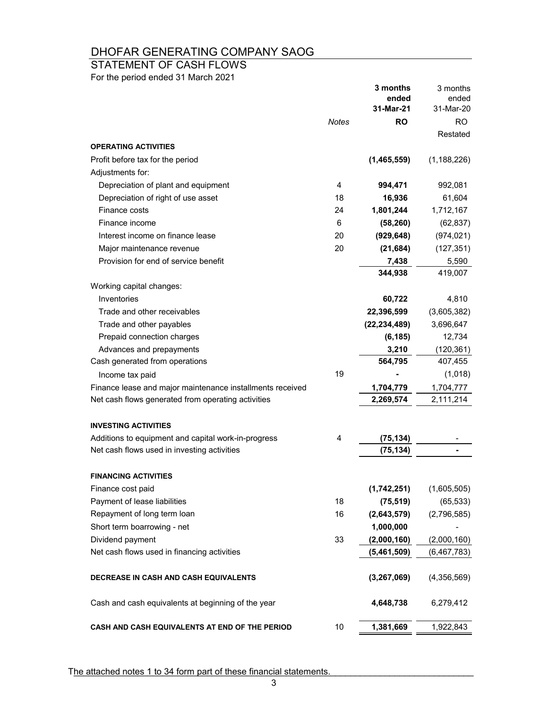# STATEMENT OF CASH FLOWS

For the period ended 31 March 2021

|                                                           |              | 3 months<br>ended | 3 months<br>ended |
|-----------------------------------------------------------|--------------|-------------------|-------------------|
|                                                           |              | 31-Mar-21         | 31-Mar-20         |
|                                                           | <b>Notes</b> | <b>RO</b>         | <b>RO</b>         |
|                                                           |              |                   | Restated          |
| <b>OPERATING ACTIVITIES</b>                               |              |                   |                   |
| Profit before tax for the period                          |              | (1,465,559)       | (1, 188, 226)     |
| Adjustments for:                                          |              |                   |                   |
| Depreciation of plant and equipment                       | 4            | 994,471           | 992,081           |
| Depreciation of right of use asset                        | 18           | 16,936            | 61,604            |
| Finance costs                                             | 24           | 1,801,244         | 1,712,167         |
| Finance income                                            | 6            | (58, 260)         | (62, 837)         |
| Interest income on finance lease                          | 20           | (929, 648)        | (974, 021)        |
| Major maintenance revenue                                 | 20           | (21, 684)         | (127, 351)        |
| Provision for end of service benefit                      |              | 7,438             | 5,590             |
|                                                           |              | 344,938           | 419,007           |
| Working capital changes:                                  |              |                   |                   |
| Inventories                                               |              | 60,722            | 4,810             |
| Trade and other receivables                               |              | 22,396,599        | (3,605,382)       |
| Trade and other payables                                  |              | (22, 234, 489)    | 3,696,647         |
| Prepaid connection charges                                |              | (6, 185)          | 12,734            |
| Advances and prepayments                                  |              | 3,210             | (120, 361)        |
| Cash generated from operations                            |              | 564,795           | 407,455           |
| Income tax paid                                           | 19           |                   | (1,018)           |
| Finance lease and major maintenance installments received |              | 1,704,779         | 1,704,777         |
| Net cash flows generated from operating activities        |              | 2,269,574         | 2,111,214         |
|                                                           |              |                   |                   |
| <b>INVESTING ACTIVITIES</b>                               |              |                   |                   |
| Additions to equipment and capital work-in-progress       | 4            | (75, 134)         |                   |
| Net cash flows used in investing activities               |              | (75, 134)         |                   |
|                                                           |              |                   |                   |
| <b>FINANCING ACTIVITIES</b>                               |              |                   |                   |
| Finance cost paid                                         |              | (1,742,251)       | (1,605,505)       |
| Payment of lease liabilities                              | 18           | (75, 519)         | (65, 533)         |
| Repayment of long term loan                               | 16           | (2,643,579)       | (2,796,585)       |
| Short term boarrowing - net                               |              | 1,000,000         |                   |
| Dividend payment                                          | 33           | (2,000,160)       | (2,000,160)       |
| Net cash flows used in financing activities               |              | (5,461,509)       | (6, 467, 783)     |
|                                                           |              |                   |                   |
| DECREASE IN CASH AND CASH EQUIVALENTS                     |              | (3, 267, 069)     | (4,356,569)       |
| Cash and cash equivalents at beginning of the year        |              | 4,648,738         | 6,279,412         |
| CASH AND CASH EQUIVALENTS AT END OF THE PERIOD            | 10           | 1,381,669         | 1,922,843         |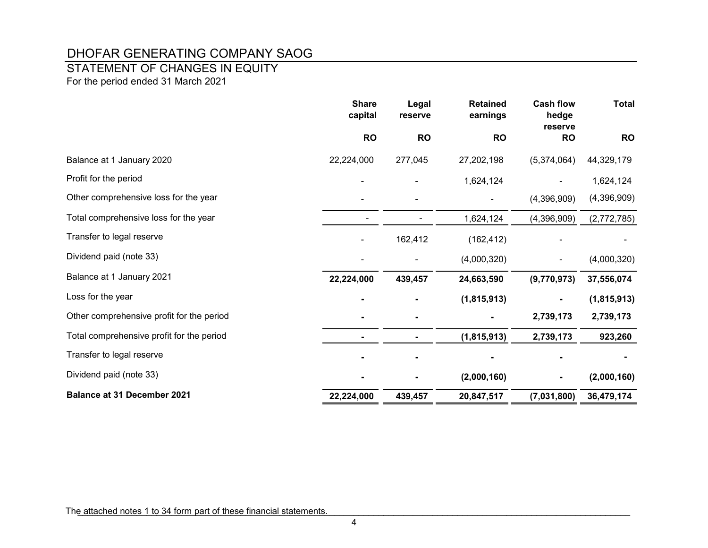# STATEMENT OF CHANGES IN EQUITY

For the period ended 31 March 2021

|                                           | <b>Share</b><br>capital | Legal<br>reserve | <b>Retained</b><br>earnings | <b>Cash flow</b><br>hedge<br>reserve | <b>Total</b> |
|-------------------------------------------|-------------------------|------------------|-----------------------------|--------------------------------------|--------------|
|                                           | <b>RO</b>               | <b>RO</b>        | <b>RO</b>                   | <b>RO</b>                            | <b>RO</b>    |
| Balance at 1 January 2020                 | 22,224,000              | 277,045          | 27,202,198                  | (5,374,064)                          | 44,329,179   |
| Profit for the period                     |                         |                  | 1,624,124                   |                                      | 1,624,124    |
| Other comprehensive loss for the year     |                         |                  |                             | (4,396,909)                          | (4,396,909)  |
| Total comprehensive loss for the year     |                         |                  | 1,624,124                   | (4,396,909)                          | (2,772,785)  |
| Transfer to legal reserve                 |                         | 162,412          | (162, 412)                  |                                      |              |
| Dividend paid (note 33)                   |                         |                  | (4,000,320)                 |                                      | (4,000,320)  |
| Balance at 1 January 2021                 | 22,224,000              | 439,457          | 24,663,590                  | (9,770,973)                          | 37,556,074   |
| Loss for the year                         |                         |                  | (1,815,913)                 |                                      | (1,815,913)  |
| Other comprehensive profit for the period |                         |                  |                             | 2,739,173                            | 2,739,173    |
| Total comprehensive profit for the period |                         |                  | (1,815,913)                 | 2,739,173                            | 923,260      |
| Transfer to legal reserve                 |                         |                  |                             |                                      |              |
| Dividend paid (note 33)                   |                         |                  | (2,000,160)                 |                                      | (2,000,160)  |
| <b>Balance at 31 December 2021</b>        | 22,224,000              | 439,457          | 20,847,517                  | (7,031,800)                          | 36,479,174   |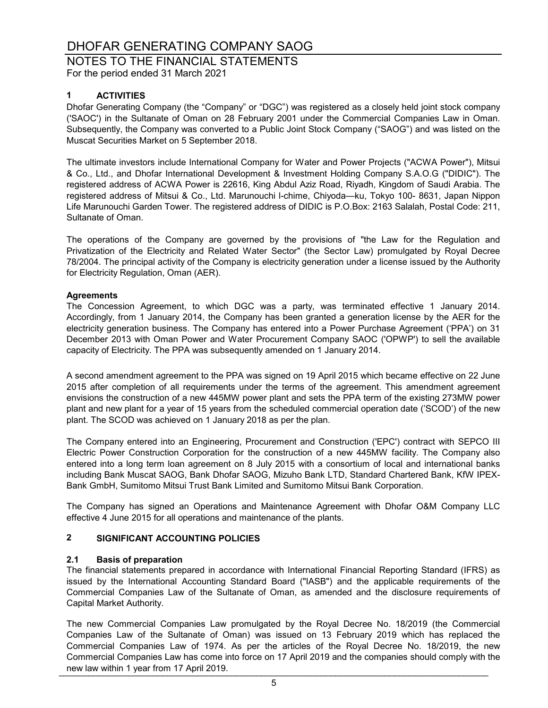# NOTES TO THE FINANCIAL STATEMENTS For the period ended 31 March 2021

**1 ACTIVITIES**

Dhofar Generating Company (the "Company" or "DGC") was registered as a closely held joint stock company ('SAOC') in the Sultanate of Oman on 28 February 2001 under the Commercial Companies Law in Oman. Subsequently, the Company was converted to a Public Joint Stock Company ("SAOG") and was listed on the Muscat Securities Market on 5 September 2018.

The ultimate investors include International Company for Water and Power Projects ("ACWA Power"), Mitsui & Co., Ltd., and Dhofar International Development & Investment Holding Company S.A.O.G ("DIDIC"). The registered address of ACWA Power is 22616, King Abdul Aziz Road, Riyadh, Kingdom of Saudi Arabia. The registered address of Mitsui & Co., Ltd. Marunouchi l-chime, Chiyoda—ku, Tokyo 100- 8631, Japan Nippon Life Marunouchi Garden Tower. The registered address of DIDIC is P.O.Box: 2163 Salalah, Postal Code: 211, Sultanate of Oman.

The operations of the Company are governed by the provisions of "the Law for the Regulation and Privatization of the Electricity and Related Water Sector" (the Sector Law) promulgated by Royal Decree 78/2004. The principal activity of the Company is electricity generation under a license issued by the Authority for Electricity Regulation, Oman (AER).

# **Agreements**

The Concession Agreement, to which DGC was a party, was terminated effective 1 January 2014. Accordingly, from 1 January 2014, the Company has been granted a generation license by the AER for the electricity generation business. The Company has entered into a Power Purchase Agreement ('PPA') on 31 December 2013 with Oman Power and Water Procurement Company SAOC ('OPWP') to sell the available capacity of Electricity. The PPA was subsequently amended on 1 January 2014.

A second amendment agreement to the PPA was signed on 19 April 2015 which became effective on 22 June 2015 after completion of all requirements under the terms of the agreement. This amendment agreement envisions the construction of a new 445MW power plant and sets the PPA term of the existing 273MW power plant and new plant for a year of 15 years from the scheduled commercial operation date ('SCOD') of the new plant. The SCOD was achieved on 1 January 2018 as per the plan.

The Company entered into an Engineering, Procurement and Construction ('EPC') contract with SEPCO III Electric Power Construction Corporation for the construction of a new 445MW facility. The Company also entered into a long term loan agreement on 8 July 2015 with a consortium of local and international banks including Bank Muscat SAOG, Bank Dhofar SAOG, Mizuho Bank LTD, Standard Chartered Bank, KfW IPEX-Bank GmbH, Sumitomo Mitsui Trust Bank Limited and Sumitomo Mitsui Bank Corporation.

The Company has signed an Operations and Maintenance Agreement with Dhofar O&M Company LLC effective 4 June 2015 for all operations and maintenance of the plants.

# **2 SIGNIFICANT ACCOUNTING POLICIES**

# **2.1 Basis of preparation**

The financial statements prepared in accordance with International Financial Reporting Standard (IFRS) as issued by the International Accounting Standard Board ("IASB") and the applicable requirements of the Commercial Companies Law of the Sultanate of Oman, as amended and the disclosure requirements of Capital Market Authority.

The new Commercial Companies Law promulgated by the Royal Decree No. 18/2019 (the Commercial Companies Law of the Sultanate of Oman) was issued on 13 February 2019 which has replaced the Commercial Companies Law of 1974. As per the articles of the Royal Decree No. 18/2019, the new Commercial Companies Law has come into force on 17 April 2019 and the companies should comply with the new law within 1 year from 17 April 2019.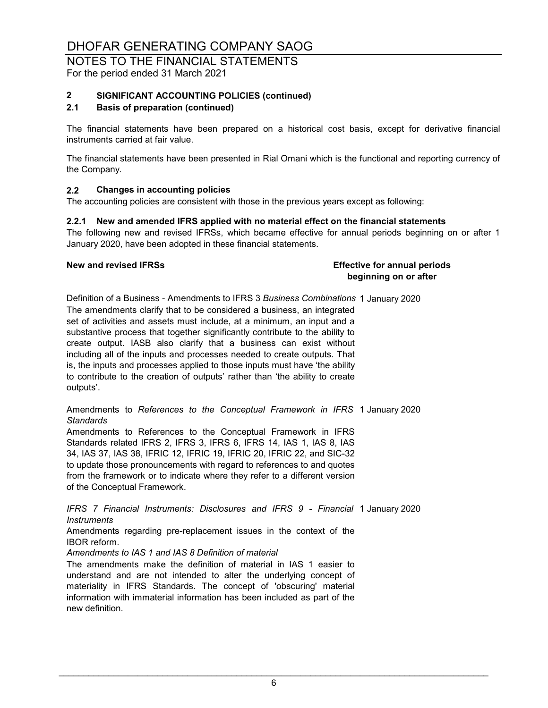# NOTES TO THE FINANCIAL STATEMENTS For the period ended 31 March 2021

# **2 SIGNIFICANT ACCOUNTING POLICIES (continued)**

# **2.1 Basis of preparation (continued)**

The financial statements have been prepared on a historical cost basis, except for derivative financial instruments carried at fair value.

The financial statements have been presented in Rial Omani which is the functional and reporting currency of the Company.

# **2.2 Changes in accounting policies**

The accounting policies are consistent with those in the previous years except as following:

### **2.2.1 New and amended IFRS applied with no material effect on the financial statements**

The following new and revised IFRSs, which became effective for annual periods beginning on or after 1 January 2020, have been adopted in these financial statements.

**New and revised IFRSs Effective for annual periods beginning on or after**

Definition of a Business - Amendments to IFRS 3 *Business Combinations* 1 January 2020 The amendments clarify that to be considered a business, an integrated set of activities and assets must include, at a minimum, an input and a substantive process that together significantly contribute to the ability to create output. IASB also clarify that a business can exist without including all of the inputs and processes needed to create outputs. That is, the inputs and processes applied to those inputs must have 'the ability to contribute to the creation of outputs' rather than 'the ability to create outputs'.

Amendments to *References to the Conceptual Framework in IFRS* 1 January 2020 *Standards*

Amendments to References to the Conceptual Framework in IFRS Standards related IFRS 2, IFRS 3, IFRS 6, IFRS 14, IAS 1, IAS 8, IAS 34, IAS 37, IAS 38, IFRIC 12, IFRIC 19, IFRIC 20, IFRIC 22, and SIC-32 to update those pronouncements with regard to references to and quotes from the framework or to indicate where they refer to a different version of the Conceptual Framework.

1 January 2020 *IFRS 7 Financial Instruments: Disclosures and IFRS 9 - Financial Instruments*

Amendments regarding pre-replacement issues in the context of the IBOR reform.

*Amendments to IAS 1 and IAS 8 Definition of material*

The amendments make the definition of material in IAS 1 easier to understand and are not intended to alter the underlying concept of materiality in IFRS Standards. The concept of 'obscuring' material information with immaterial information has been included as part of the new definition.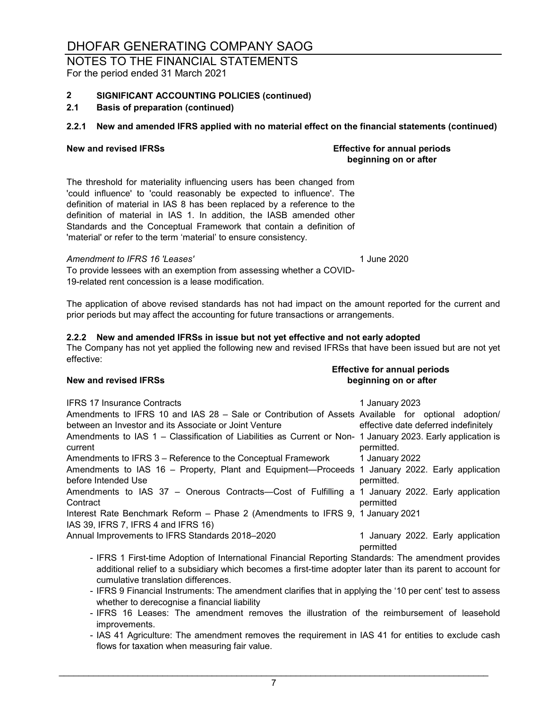# NOTES TO THE FINANCIAL STATEMENTS For the period ended 31 March 2021

# **2 SIGNIFICANT ACCOUNTING POLICIES (continued)**

# **2.1 Basis of preparation (continued)**

# **2.2.1 New and amended IFRS applied with no material effect on the financial statements (continued)**

The threshold for materiality influencing users has been changed from 'could influence' to 'could reasonably be expected to influence'. The definition of material in IAS 8 has been replaced by a reference to the definition of material in IAS 1. In addition, the IASB amended other Standards and the Conceptual Framework that contain a definition of 'material' or refer to the term 'material' to ensure consistency.

# *Amendment to IFRS 16 'Leases'* 1 June 2020

To provide lessees with an exemption from assessing whether a COVID-19-related rent concession is a lease modification.

The application of above revised standards has not had impact on the amount reported for the current and prior periods but may affect the accounting for future transactions or arrangements.

# **2.2.2 New and amended IFRSs in issue but not yet effective and not early adopted**

The Company has not yet applied the following new and revised IFRSs that have been issued but are not yet effective:

IFRS 17 Insurance Contracts 1 January 2023 Annual Improvements to IFRS Standards 2018–2020 - IFRS 1 First-time Adoption of International Financial Reporting Standards: The amendment provides Interest Rate Benchmark Reform – Phase 2 (Amendments to IFRS 9, 1 January 2021 IAS 39, IFRS 7, IFRS 4 and IFRS 16) Amendments to IFRS 10 and IAS 28 – Sale or Contribution of Assets Available for optional adoption/ between an Investor and its Associate or Joint Venture effective date deferred indefinitely Amendments to IAS 1 – Classification of Liabilities as Current or Non-1 January 2023. Early application is current permitted. Amendments to IFRS 3 – Reference to the Conceptual Framework 1 January 2022 Amendments to IAS 16 – Property, Plant and Equipment—Proceeds 1 January 2022. Early application before Intended Use permitted. Amendments to IAS 37 – Onerous Contracts—Cost of Fulfilling a 1 January 2022. Early application **Contract** permitted 1 January 2022. Early application permitted

- additional relief to a subsidiary which becomes a first-time adopter later than its parent to account for cumulative translation differences.
- IFRS 9 Financial Instruments: The amendment clarifies that in applying the '10 per cent' test to assess whether to derecognise a financial liability
- IFRS 16 Leases: The amendment removes the illustration of the reimbursement of leasehold improvements.
- IAS 41 Agriculture: The amendment removes the requirement in IAS 41 for entities to exclude cash flows for taxation when measuring fair value.

7

# **Effective for annual periods New and revised IFRSs beginning on or after**

# **New and revised IFRSs Effective for annual periods beginning on or after**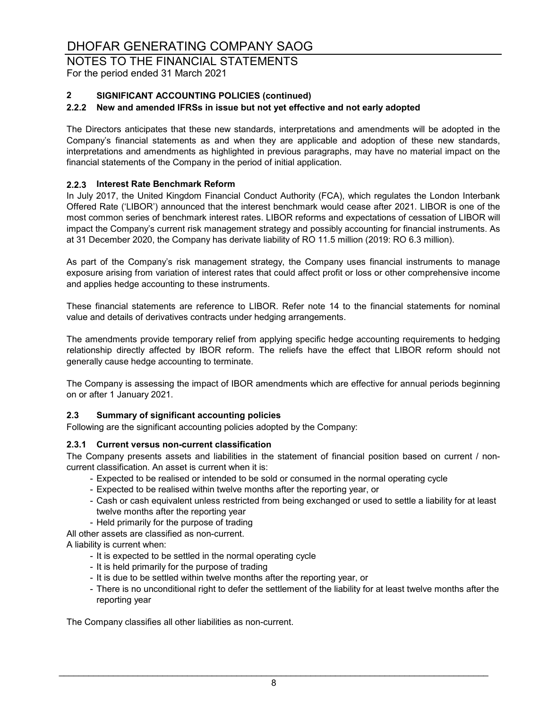# NOTES TO THE FINANCIAL STATEMENTS

For the period ended 31 March 2021

# **2 SIGNIFICANT ACCOUNTING POLICIES (continued)**

# **2.2.2 New and amended IFRSs in issue but not yet effective and not early adopted**

The Directors anticipates that these new standards, interpretations and amendments will be adopted in the Company's financial statements as and when they are applicable and adoption of these new standards, interpretations and amendments as highlighted in previous paragraphs, may have no material impact on the financial statements of the Company in the period of initial application.

# **2.2.3 Interest Rate Benchmark Reform**

In July 2017, the United Kingdom Financial Conduct Authority (FCA), which regulates the London Interbank Offered Rate ('LIBOR') announced that the interest benchmark would cease after 2021. LIBOR is one of the most common series of benchmark interest rates. LIBOR reforms and expectations of cessation of LIBOR will impact the Company's current risk management strategy and possibly accounting for financial instruments. As at 31 December 2020, the Company has derivate liability of RO 11.5 million (2019: RO 6.3 million).

As part of the Company's risk management strategy, the Company uses financial instruments to manage exposure arising from variation of interest rates that could affect profit or loss or other comprehensive income and applies hedge accounting to these instruments.

These financial statements are reference to LIBOR. Refer note 14 to the financial statements for nominal value and details of derivatives contracts under hedging arrangements.

The amendments provide temporary relief from applying specific hedge accounting requirements to hedging relationship directly affected by IBOR reform. The reliefs have the effect that LIBOR reform should not generally cause hedge accounting to terminate.

The Company is assessing the impact of IBOR amendments which are effective for annual periods beginning on or after 1 January 2021.

# **2.3 Summary of significant accounting policies**

Following are the significant accounting policies adopted by the Company:

# **2.3.1 Current versus non-current classification**

The Company presents assets and liabilities in the statement of financial position based on current / noncurrent classification. An asset is current when it is:

- Expected to be realised or intended to be sold or consumed in the normal operating cycle
- Expected to be realised within twelve months after the reporting year, or
- Cash or cash equivalent unless restricted from being exchanged or used to settle a liability for at least twelve months after the reporting year
- Held primarily for the purpose of trading

All other assets are classified as non-current.

A liability is current when:

- It is expected to be settled in the normal operating cycle
- It is held primarily for the purpose of trading
- It is due to be settled within twelve months after the reporting year, or
- There is no unconditional right to defer the settlement of the liability for at least twelve months after the reporting year

The Company classifies all other liabilities as non-current.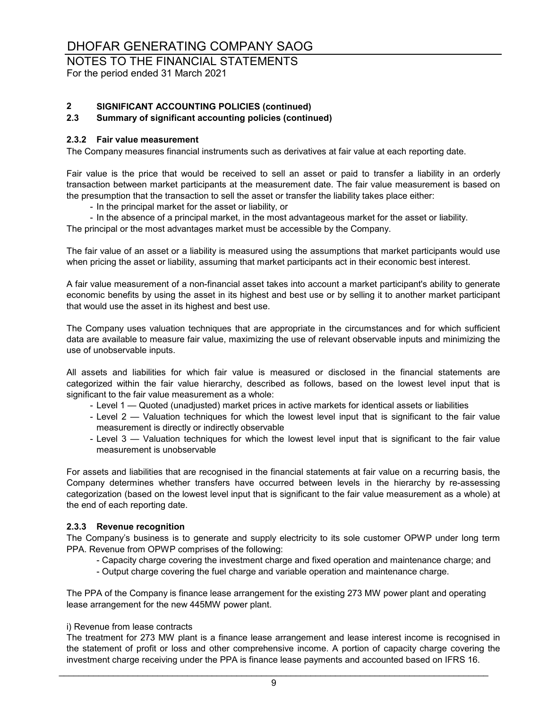NOTES TO THE FINANCIAL STATEMENTS For the period ended 31 March 2021

# **2 SIGNIFICANT ACCOUNTING POLICIES (continued)**

# **2.3 Summary of significant accounting policies (continued)**

# **2.3.2 Fair value measurement**

The Company measures financial instruments such as derivatives at fair value at each reporting date.

Fair value is the price that would be received to sell an asset or paid to transfer a liability in an orderly transaction between market participants at the measurement date. The fair value measurement is based on the presumption that the transaction to sell the asset or transfer the liability takes place either:

- In the principal market for the asset or liability, or
- In the absence of a principal market, in the most advantageous market for the asset or liability.

The principal or the most advantages market must be accessible by the Company.

The fair value of an asset or a liability is measured using the assumptions that market participants would use when pricing the asset or liability, assuming that market participants act in their economic best interest.

A fair value measurement of a non-financial asset takes into account a market participant's ability to generate economic benefits by using the asset in its highest and best use or by selling it to another market participant that would use the asset in its highest and best use.

The Company uses valuation techniques that are appropriate in the circumstances and for which sufficient data are available to measure fair value, maximizing the use of relevant observable inputs and minimizing the use of unobservable inputs.

All assets and liabilities for which fair value is measured or disclosed in the financial statements are categorized within the fair value hierarchy, described as follows, based on the lowest level input that is significant to the fair value measurement as a whole:

- Level 1 Quoted (unadjusted) market prices in active markets for identical assets or liabilities
- Level 2 Valuation techniques for which the lowest level input that is significant to the fair value measurement is directly or indirectly observable
- Level 3 Valuation techniques for which the lowest level input that is significant to the fair value measurement is unobservable

For assets and liabilities that are recognised in the financial statements at fair value on a recurring basis, the Company determines whether transfers have occurred between levels in the hierarchy by re-assessing categorization (based on the lowest level input that is significant to the fair value measurement as a whole) at the end of each reporting date.

# **2.3.3 Revenue recognition**

The Company's business is to generate and supply electricity to its sole customer OPWP under long term PPA. Revenue from OPWP comprises of the following:

- Capacity charge covering the investment charge and fixed operation and maintenance charge; and
- Output charge covering the fuel charge and variable operation and maintenance charge.

The PPA of the Company is finance lease arrangement for the existing 273 MW power plant and operating lease arrangement for the new 445MW power plant.

# i) Revenue from lease contracts

The treatment for 273 MW plant is a finance lease arrangement and lease interest income is recognised in the statement of profit or loss and other comprehensive income. A portion of capacity charge covering the investment charge receiving under the PPA is finance lease payments and accounted based on IFRS 16.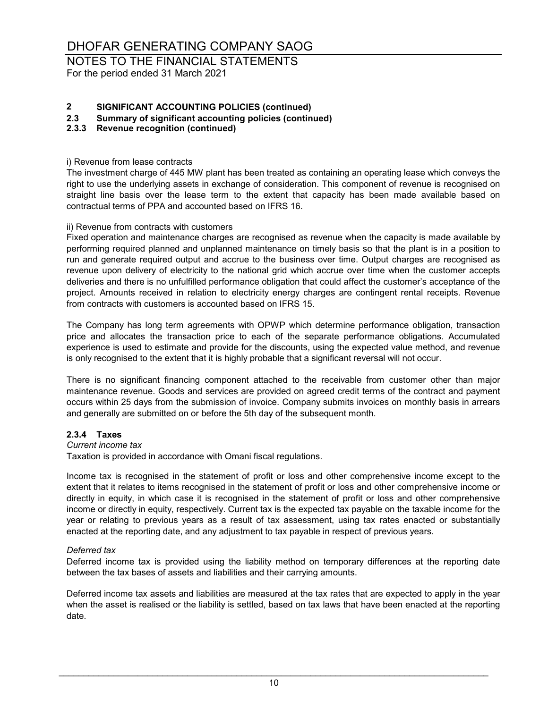NOTES TO THE FINANCIAL STATEMENTS For the period ended 31 March 2021

# **2 SIGNIFICANT ACCOUNTING POLICIES (continued)**

# **2.3 Summary of significant accounting policies (continued)**

# **2.3.3 Revenue recognition (continued)**

# i) Revenue from lease contracts

The investment charge of 445 MW plant has been treated as containing an operating lease which conveys the right to use the underlying assets in exchange of consideration. This component of revenue is recognised on straight line basis over the lease term to the extent that capacity has been made available based on contractual terms of PPA and accounted based on IFRS 16.

# ii) Revenue from contracts with customers

Fixed operation and maintenance charges are recognised as revenue when the capacity is made available by performing required planned and unplanned maintenance on timely basis so that the plant is in a position to run and generate required output and accrue to the business over time. Output charges are recognised as revenue upon delivery of electricity to the national grid which accrue over time when the customer accepts deliveries and there is no unfulfilled performance obligation that could affect the customer's acceptance of the project. Amounts received in relation to electricity energy charges are contingent rental receipts. Revenue from contracts with customers is accounted based on IFRS 15.

The Company has long term agreements with OPWP which determine performance obligation, transaction price and allocates the transaction price to each of the separate performance obligations. Accumulated experience is used to estimate and provide for the discounts, using the expected value method, and revenue is only recognised to the extent that it is highly probable that a significant reversal will not occur.

There is no significant financing component attached to the receivable from customer other than major maintenance revenue. Goods and services are provided on agreed credit terms of the contract and payment occurs within 25 days from the submission of invoice. Company submits invoices on monthly basis in arrears and generally are submitted on or before the 5th day of the subsequent month.

# **2.3.4 Taxes**

# *Current income tax*

Taxation is provided in accordance with Omani fiscal regulations.

Income tax is recognised in the statement of profit or loss and other comprehensive income except to the extent that it relates to items recognised in the statement of profit or loss and other comprehensive income or directly in equity, in which case it is recognised in the statement of profit or loss and other comprehensive income or directly in equity, respectively. Current tax is the expected tax payable on the taxable income for the year or relating to previous years as a result of tax assessment, using tax rates enacted or substantially enacted at the reporting date, and any adjustment to tax payable in respect of previous years.

# *Deferred tax*

Deferred income tax is provided using the liability method on temporary differences at the reporting date between the tax bases of assets and liabilities and their carrying amounts.

Deferred income tax assets and liabilities are measured at the tax rates that are expected to apply in the year when the asset is realised or the liability is settled, based on tax laws that have been enacted at the reporting date.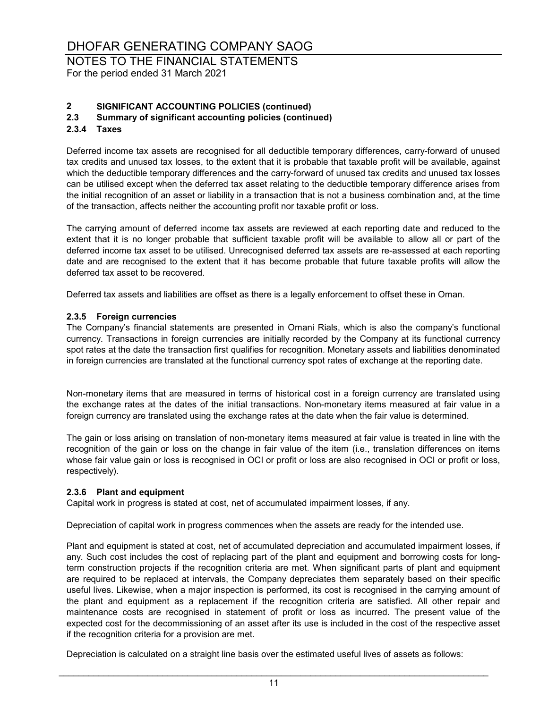NOTES TO THE FINANCIAL STATEMENTS For the period ended 31 March 2021

# **2 SIGNIFICANT ACCOUNTING POLICIES (continued)**

# **2.3 Summary of significant accounting policies (continued)**

# **2.3.4 Taxes**

Deferred income tax assets are recognised for all deductible temporary differences, carry-forward of unused tax credits and unused tax losses, to the extent that it is probable that taxable profit will be available, against which the deductible temporary differences and the carry-forward of unused tax credits and unused tax losses can be utilised except when the deferred tax asset relating to the deductible temporary difference arises from the initial recognition of an asset or liability in a transaction that is not a business combination and, at the time of the transaction, affects neither the accounting profit nor taxable profit or loss.

The carrying amount of deferred income tax assets are reviewed at each reporting date and reduced to the extent that it is no longer probable that sufficient taxable profit will be available to allow all or part of the deferred income tax asset to be utilised. Unrecognised deferred tax assets are re-assessed at each reporting date and are recognised to the extent that it has become probable that future taxable profits will allow the deferred tax asset to be recovered.

Deferred tax assets and liabilities are offset as there is a legally enforcement to offset these in Oman.

# **2.3.5 Foreign currencies**

The Company's financial statements are presented in Omani Rials, which is also the company's functional currency. Transactions in foreign currencies are initially recorded by the Company at its functional currency spot rates at the date the transaction first qualifies for recognition. Monetary assets and liabilities denominated in foreign currencies are translated at the functional currency spot rates of exchange at the reporting date.

Non-monetary items that are measured in terms of historical cost in a foreign currency are translated using the exchange rates at the dates of the initial transactions. Non-monetary items measured at fair value in a foreign currency are translated using the exchange rates at the date when the fair value is determined.

The gain or loss arising on translation of non-monetary items measured at fair value is treated in line with the recognition of the gain or loss on the change in fair value of the item (i.e., translation differences on items whose fair value gain or loss is recognised in OCI or profit or loss are also recognised in OCI or profit or loss, respectively).

# **2.3.6 Plant and equipment**

Capital work in progress is stated at cost, net of accumulated impairment losses, if any.

Depreciation of capital work in progress commences when the assets are ready for the intended use.

Plant and equipment is stated at cost, net of accumulated depreciation and accumulated impairment losses, if any. Such cost includes the cost of replacing part of the plant and equipment and borrowing costs for longterm construction projects if the recognition criteria are met. When significant parts of plant and equipment are required to be replaced at intervals, the Company depreciates them separately based on their specific useful lives. Likewise, when a major inspection is performed, its cost is recognised in the carrying amount of the plant and equipment as a replacement if the recognition criteria are satisfied. All other repair and maintenance costs are recognised in statement of profit or loss as incurred. The present value of the expected cost for the decommissioning of an asset after its use is included in the cost of the respective asset if the recognition criteria for a provision are met.

Depreciation is calculated on a straight line basis over the estimated useful lives of assets as follows: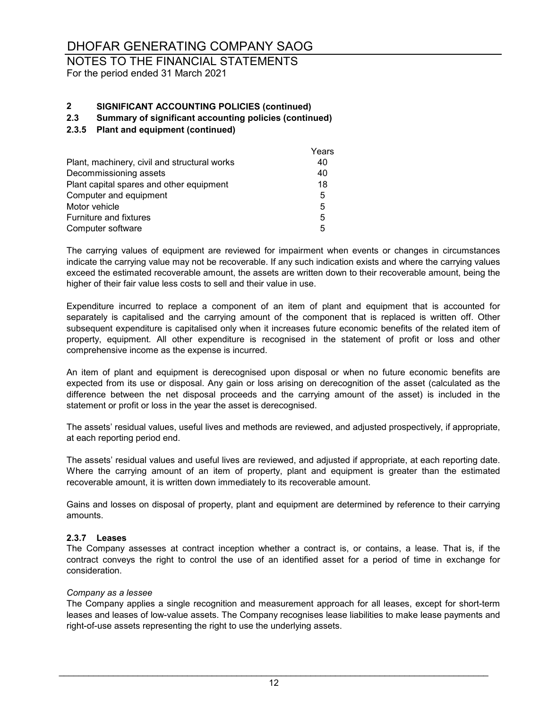NOTES TO THE FINANCIAL STATEMENTS For the period ended 31 March 2021

# **2 SIGNIFICANT ACCOUNTING POLICIES (continued)**

**2.3 Summary of significant accounting policies (continued)**

# **2.3.5 Plant and equipment (continued)**

|                                              | Years |
|----------------------------------------------|-------|
| Plant, machinery, civil and structural works | 40    |
| Decommissioning assets                       | 40    |
| Plant capital spares and other equipment     | 18    |
| Computer and equipment                       | 5     |
| Motor vehicle                                | 5     |
| <b>Furniture and fixtures</b>                | 5     |
| Computer software                            | 5     |

The carrying values of equipment are reviewed for impairment when events or changes in circumstances indicate the carrying value may not be recoverable. If any such indication exists and where the carrying values exceed the estimated recoverable amount, the assets are written down to their recoverable amount, being the higher of their fair value less costs to sell and their value in use.

Expenditure incurred to replace a component of an item of plant and equipment that is accounted for separately is capitalised and the carrying amount of the component that is replaced is written off. Other subsequent expenditure is capitalised only when it increases future economic benefits of the related item of property, equipment. All other expenditure is recognised in the statement of profit or loss and other comprehensive income as the expense is incurred.

An item of plant and equipment is derecognised upon disposal or when no future economic benefits are expected from its use or disposal. Any gain or loss arising on derecognition of the asset (calculated as the difference between the net disposal proceeds and the carrying amount of the asset) is included in the statement or profit or loss in the year the asset is derecognised.

The assets' residual values, useful lives and methods are reviewed, and adjusted prospectively, if appropriate, at each reporting period end.

The assets' residual values and useful lives are reviewed, and adjusted if appropriate, at each reporting date. Where the carrying amount of an item of property, plant and equipment is greater than the estimated recoverable amount, it is written down immediately to its recoverable amount.

Gains and losses on disposal of property, plant and equipment are determined by reference to their carrying amounts.

# **2.3.7 Leases**

The Company assesses at contract inception whether a contract is, or contains, a lease. That is, if the contract conveys the right to control the use of an identified asset for a period of time in exchange for consideration.

# *Company as a lessee*

The Company applies a single recognition and measurement approach for all leases, except for short-term leases and leases of low-value assets. The Company recognises lease liabilities to make lease payments and right-of-use assets representing the right to use the underlying assets.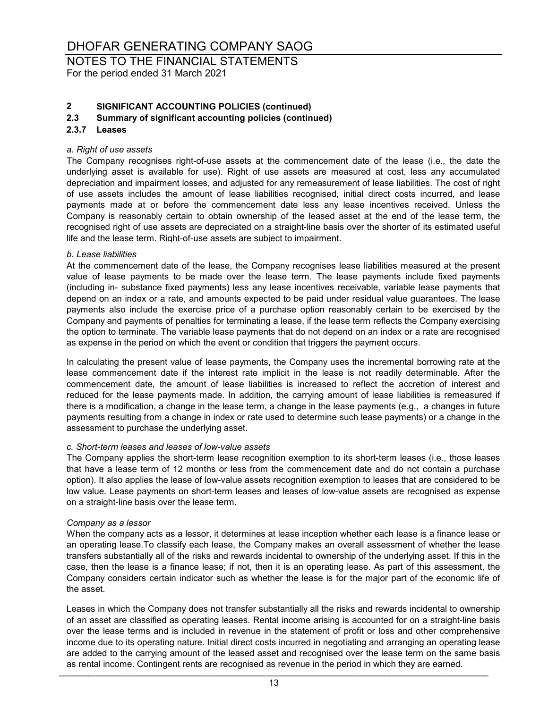NOTES TO THE FINANCIAL STATEMENTS For the period ended 31 March 2021

# **2 SIGNIFICANT ACCOUNTING POLICIES (continued)**

# **2.3 Summary of significant accounting policies (continued)**

# **2.3.7 Leases**

# *a. Right of use assets*

The Company recognises right-of-use assets at the commencement date of the lease (i.e., the date the underlying asset is available for use). Right of use assets are measured at cost, less any accumulated depreciation and impairment losses, and adjusted for any remeasurement of lease liabilities. The cost of right of use assets includes the amount of lease liabilities recognised, initial direct costs incurred, and lease payments made at or before the commencement date less any lease incentives received. Unless the Company is reasonably certain to obtain ownership of the leased asset at the end of the lease term, the recognised right of use assets are depreciated on a straight-line basis over the shorter of its estimated useful life and the lease term. Right-of-use assets are subject to impairment.

### *b. Lease liabilities*

At the commencement date of the lease, the Company recognises lease liabilities measured at the present value of lease payments to be made over the lease term. The lease payments include fixed payments (including in- substance fixed payments) less any lease incentives receivable, variable lease payments that depend on an index or a rate, and amounts expected to be paid under residual value guarantees. The lease payments also include the exercise price of a purchase option reasonably certain to be exercised by the Company and payments of penalties for terminating a lease, if the lease term reflects the Company exercising the option to terminate. The variable lease payments that do not depend on an index or a rate are recognised as expense in the period on which the event or condition that triggers the payment occurs.

In calculating the present value of lease payments, the Company uses the incremental borrowing rate at the lease commencement date if the interest rate implicit in the lease is not readily determinable. After the commencement date, the amount of lease liabilities is increased to reflect the accretion of interest and reduced for the lease payments made. In addition, the carrying amount of lease liabilities is remeasured if there is a modification, a change in the lease term, a change in the lease payments (e.g., a changes in future payments resulting from a change in index or rate used to determine such lease payments) or a change in the assessment to purchase the underlying asset.

# *c. Short-term leases and leases of low-value assets*

The Company applies the short-term lease recognition exemption to its short-term leases (i.e., those leases that have a lease term of 12 months or less from the commencement date and do not contain a purchase option). It also applies the lease of low-value assets recognition exemption to leases that are considered to be low value. Lease payments on short-term leases and leases of low-value assets are recognised as expense on a straight-line basis over the lease term.

# *Company as a lessor*

When the company acts as a lessor, it determines at lease inception whether each lease is a finance lease or an operating lease.To classify each lease, the Company makes an overall assessment of whether the lease transfers substantially all of the risks and rewards incidental to ownership of the underlying asset. If this in the case, then the lease is a finance lease; if not, then it is an operating lease. As part of this assessment, the Company considers certain indicator such as whether the lease is for the major part of the economic life of the asset.

Leases in which the Company does not transfer substantially all the risks and rewards incidental to ownership of an asset are classified as operating leases. Rental income arising is accounted for on a straight-line basis over the lease terms and is included in revenue in the statement of profit or loss and other comprehensive income due to its operating nature. Initial direct costs incurred in negotiating and arranging an operating lease are added to the carrying amount of the leased asset and recognised over the lease term on the same basis as rental income. Contingent rents are recognised as revenue in the period in which they are earned.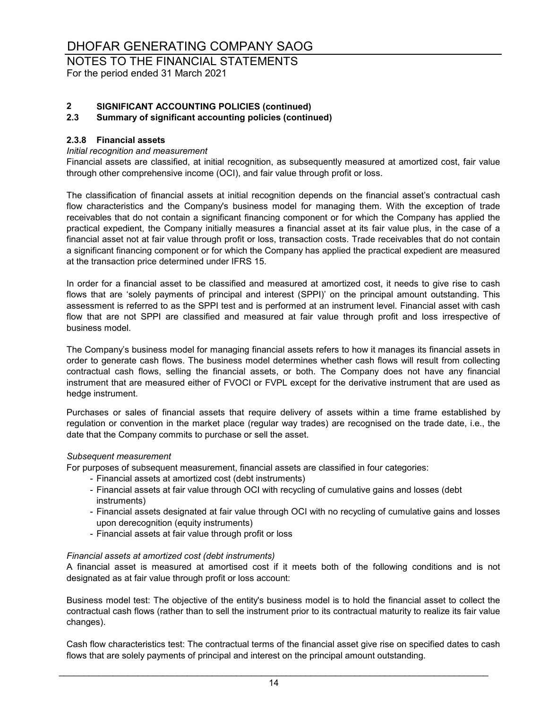NOTES TO THE FINANCIAL STATEMENTS For the period ended 31 March 2021

# **2 SIGNIFICANT ACCOUNTING POLICIES (continued)**

# **2.3 Summary of significant accounting policies (continued)**

# **2.3.8 Financial assets**

# *Initial recognition and measurement*

Financial assets are classified, at initial recognition, as subsequently measured at amortized cost, fair value through other comprehensive income (OCI), and fair value through profit or loss.

The classification of financial assets at initial recognition depends on the financial asset's contractual cash flow characteristics and the Company's business model for managing them. With the exception of trade receivables that do not contain a significant financing component or for which the Company has applied the practical expedient, the Company initially measures a financial asset at its fair value plus, in the case of a financial asset not at fair value through profit or loss, transaction costs. Trade receivables that do not contain a significant financing component or for which the Company has applied the practical expedient are measured at the transaction price determined under IFRS 15.

In order for a financial asset to be classified and measured at amortized cost, it needs to give rise to cash flows that are 'solely payments of principal and interest (SPPI)' on the principal amount outstanding. This assessment is referred to as the SPPI test and is performed at an instrument level. Financial asset with cash flow that are not SPPI are classified and measured at fair value through profit and loss irrespective of business model.

The Company's business model for managing financial assets refers to how it manages its financial assets in order to generate cash flows. The business model determines whether cash flows will result from collecting contractual cash flows, selling the financial assets, or both. The Company does not have any financial instrument that are measured either of FVOCI or FVPL except for the derivative instrument that are used as hedge instrument.

Purchases or sales of financial assets that require delivery of assets within a time frame established by regulation or convention in the market place (regular way trades) are recognised on the trade date, i.e., the date that the Company commits to purchase or sell the asset.

# *Subsequent measurement*

For purposes of subsequent measurement, financial assets are classified in four categories:

- Financial assets at amortized cost (debt instruments)
- Financial assets at fair value through OCI with recycling of cumulative gains and losses (debt instruments)
- Financial assets designated at fair value through OCI with no recycling of cumulative gains and losses upon derecognition (equity instruments)
- Financial assets at fair value through profit or loss

#### *Financial assets at amortized cost (debt instruments)*

A financial asset is measured at amortised cost if it meets both of the following conditions and is not designated as at fair value through profit or loss account:

Business model test: The objective of the entity's business model is to hold the financial asset to collect the contractual cash flows (rather than to sell the instrument prior to its contractual maturity to realize its fair value changes).

Cash flow characteristics test: The contractual terms of the financial asset give rise on specified dates to cash flows that are solely payments of principal and interest on the principal amount outstanding.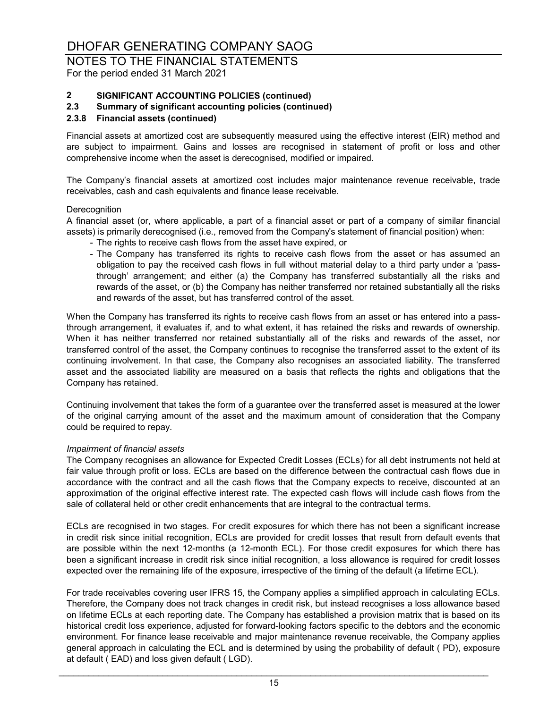# NOTES TO THE FINANCIAL STATEMENTS

For the period ended 31 March 2021

# **2 SIGNIFICANT ACCOUNTING POLICIES (continued)**

# **2.3 Summary of significant accounting policies (continued)**

# **2.3.8 Financial assets (continued)**

Financial assets at amortized cost are subsequently measured using the effective interest (EIR) method and are subject to impairment. Gains and losses are recognised in statement of profit or loss and other comprehensive income when the asset is derecognised, modified or impaired.

The Company's financial assets at amortized cost includes major maintenance revenue receivable, trade receivables, cash and cash equivalents and finance lease receivable.

# **Derecognition**

A financial asset (or, where applicable, a part of a financial asset or part of a company of similar financial assets) is primarily derecognised (i.e., removed from the Company's statement of financial position) when:

- The rights to receive cash flows from the asset have expired, or
- The Company has transferred its rights to receive cash flows from the asset or has assumed an obligation to pay the received cash flows in full without material delay to a third party under a 'passthrough' arrangement; and either (a) the Company has transferred substantially all the risks and rewards of the asset, or (b) the Company has neither transferred nor retained substantially all the risks and rewards of the asset, but has transferred control of the asset.

When the Company has transferred its rights to receive cash flows from an asset or has entered into a passthrough arrangement, it evaluates if, and to what extent, it has retained the risks and rewards of ownership. When it has neither transferred nor retained substantially all of the risks and rewards of the asset, nor transferred control of the asset, the Company continues to recognise the transferred asset to the extent of its continuing involvement. In that case, the Company also recognises an associated liability. The transferred asset and the associated liability are measured on a basis that reflects the rights and obligations that the Company has retained.

Continuing involvement that takes the form of a guarantee over the transferred asset is measured at the lower of the original carrying amount of the asset and the maximum amount of consideration that the Company could be required to repay.

# *Impairment of financial assets*

The Company recognises an allowance for Expected Credit Losses (ECLs) for all debt instruments not held at fair value through profit or loss. ECLs are based on the difference between the contractual cash flows due in accordance with the contract and all the cash flows that the Company expects to receive, discounted at an approximation of the original effective interest rate. The expected cash flows will include cash flows from the sale of collateral held or other credit enhancements that are integral to the contractual terms.

ECLs are recognised in two stages. For credit exposures for which there has not been a significant increase in credit risk since initial recognition, ECLs are provided for credit losses that result from default events that are possible within the next 12-months (a 12-month ECL). For those credit exposures for which there has been a significant increase in credit risk since initial recognition, a loss allowance is required for credit losses expected over the remaining life of the exposure, irrespective of the timing of the default (a lifetime ECL).

For trade receivables covering user IFRS 15, the Company applies a simplified approach in calculating ECLs. Therefore, the Company does not track changes in credit risk, but instead recognises a loss allowance based on lifetime ECLs at each reporting date. The Company has established a provision matrix that is based on its historical credit loss experience, adjusted for forward-looking factors specific to the debtors and the economic environment. For finance lease receivable and major maintenance revenue receivable, the Company applies general approach in calculating the ECL and is determined by using the probability of default ( PD), exposure at default ( EAD) and loss given default ( LGD).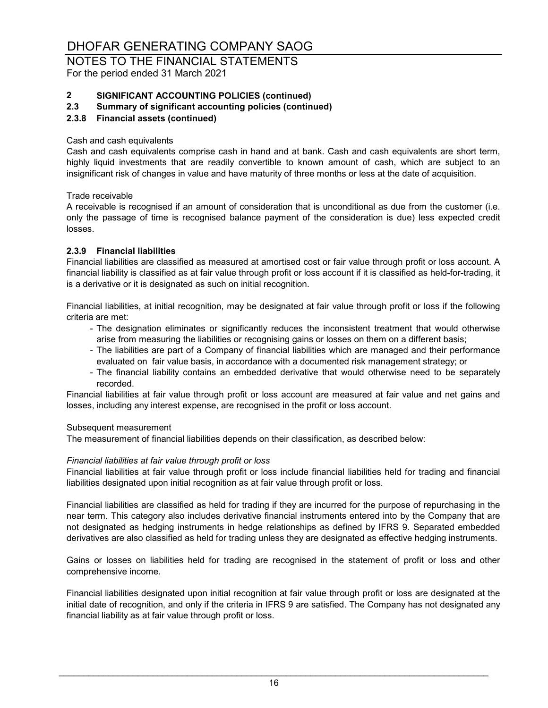# NOTES TO THE FINANCIAL STATEMENTS For the period ended 31 March 2021

# **2 SIGNIFICANT ACCOUNTING POLICIES (continued)**

# **2.3 Summary of significant accounting policies (continued)**

# **2.3.8 Financial assets (continued)**

### Cash and cash equivalents

Cash and cash equivalents comprise cash in hand and at bank. Cash and cash equivalents are short term, highly liquid investments that are readily convertible to known amount of cash, which are subject to an insignificant risk of changes in value and have maturity of three months or less at the date of acquisition.

Trade receivable

A receivable is recognised if an amount of consideration that is unconditional as due from the customer (i.e. only the passage of time is recognised balance payment of the consideration is due) less expected credit losses.

# **2.3.9 Financial liabilities**

Financial liabilities are classified as measured at amortised cost or fair value through profit or loss account. A financial liability is classified as at fair value through profit or loss account if it is classified as held-for-trading, it is a derivative or it is designated as such on initial recognition.

Financial liabilities, at initial recognition, may be designated at fair value through profit or loss if the following criteria are met:

- The designation eliminates or significantly reduces the inconsistent treatment that would otherwise arise from measuring the liabilities or recognising gains or losses on them on a different basis;
- The liabilities are part of a Company of financial liabilities which are managed and their performance evaluated on fair value basis, in accordance with a documented risk management strategy; or
- The financial liability contains an embedded derivative that would otherwise need to be separately recorded.

Financial liabilities at fair value through profit or loss account are measured at fair value and net gains and losses, including any interest expense, are recognised in the profit or loss account.

# Subsequent measurement

The measurement of financial liabilities depends on their classification, as described below:

# *Financial liabilities at fair value through profit or loss*

Financial liabilities at fair value through profit or loss include financial liabilities held for trading and financial liabilities designated upon initial recognition as at fair value through profit or loss.

Financial liabilities are classified as held for trading if they are incurred for the purpose of repurchasing in the near term. This category also includes derivative financial instruments entered into by the Company that are not designated as hedging instruments in hedge relationships as defined by IFRS 9. Separated embedded derivatives are also classified as held for trading unless they are designated as effective hedging instruments.

Gains or losses on liabilities held for trading are recognised in the statement of profit or loss and other comprehensive income.

Financial liabilities designated upon initial recognition at fair value through profit or loss are designated at the initial date of recognition, and only if the criteria in IFRS 9 are satisfied. The Company has not designated any financial liability as at fair value through profit or loss.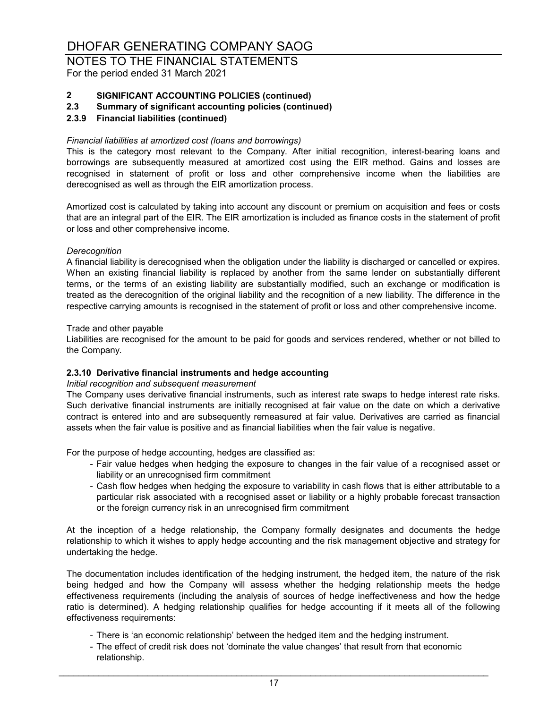# NOTES TO THE FINANCIAL STATEMENTS

For the period ended 31 March 2021

# **2 SIGNIFICANT ACCOUNTING POLICIES (continued)**

**2.3 Summary of significant accounting policies (continued)**

# **2.3.9 Financial liabilities (continued)**

# *Financial liabilities at amortized cost (loans and borrowings)*

This is the category most relevant to the Company. After initial recognition, interest-bearing loans and borrowings are subsequently measured at amortized cost using the EIR method. Gains and losses are recognised in statement of profit or loss and other comprehensive income when the liabilities are derecognised as well as through the EIR amortization process.

Amortized cost is calculated by taking into account any discount or premium on acquisition and fees or costs that are an integral part of the EIR. The EIR amortization is included as finance costs in the statement of profit or loss and other comprehensive income.

# *Derecognition*

A financial liability is derecognised when the obligation under the liability is discharged or cancelled or expires. When an existing financial liability is replaced by another from the same lender on substantially different terms, or the terms of an existing liability are substantially modified, such an exchange or modification is treated as the derecognition of the original liability and the recognition of a new liability. The difference in the respective carrying amounts is recognised in the statement of profit or loss and other comprehensive income.

### Trade and other payable

Liabilities are recognised for the amount to be paid for goods and services rendered, whether or not billed to the Company.

# **2.3.10 Derivative financial instruments and hedge accounting**

#### *Initial recognition and subsequent measurement*

The Company uses derivative financial instruments, such as interest rate swaps to hedge interest rate risks. Such derivative financial instruments are initially recognised at fair value on the date on which a derivative contract is entered into and are subsequently remeasured at fair value. Derivatives are carried as financial assets when the fair value is positive and as financial liabilities when the fair value is negative.

For the purpose of hedge accounting, hedges are classified as:

- Fair value hedges when hedging the exposure to changes in the fair value of a recognised asset or liability or an unrecognised firm commitment
- Cash flow hedges when hedging the exposure to variability in cash flows that is either attributable to a particular risk associated with a recognised asset or liability or a highly probable forecast transaction or the foreign currency risk in an unrecognised firm commitment

At the inception of a hedge relationship, the Company formally designates and documents the hedge relationship to which it wishes to apply hedge accounting and the risk management objective and strategy for undertaking the hedge.

The documentation includes identification of the hedging instrument, the hedged item, the nature of the risk being hedged and how the Company will assess whether the hedging relationship meets the hedge effectiveness requirements (including the analysis of sources of hedge ineffectiveness and how the hedge ratio is determined). A hedging relationship qualifies for hedge accounting if it meets all of the following effectiveness requirements:

- There is 'an economic relationship' between the hedged item and the hedging instrument.
- The effect of credit risk does not 'dominate the value changes' that result from that economic relationship.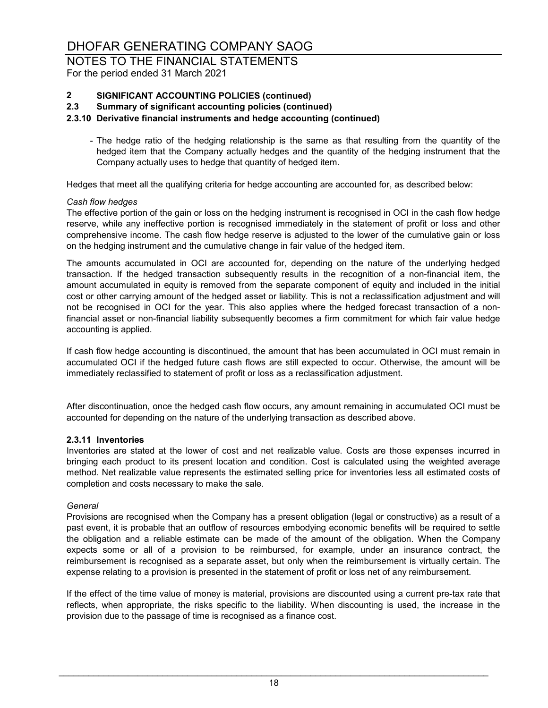# NOTES TO THE FINANCIAL STATEMENTS For the period ended 31 March 2021

# **2 SIGNIFICANT ACCOUNTING POLICIES (continued)**

**2.3 Summary of significant accounting policies (continued)**

# **2.3.10 Derivative financial instruments and hedge accounting (continued)**

- The hedge ratio of the hedging relationship is the same as that resulting from the quantity of the hedged item that the Company actually hedges and the quantity of the hedging instrument that the Company actually uses to hedge that quantity of hedged item.

Hedges that meet all the qualifying criteria for hedge accounting are accounted for, as described below:

# *Cash flow hedges*

The effective portion of the gain or loss on the hedging instrument is recognised in OCI in the cash flow hedge reserve, while any ineffective portion is recognised immediately in the statement of profit or loss and other comprehensive income. The cash flow hedge reserve is adjusted to the lower of the cumulative gain or loss on the hedging instrument and the cumulative change in fair value of the hedged item.

The amounts accumulated in OCI are accounted for, depending on the nature of the underlying hedged transaction. If the hedged transaction subsequently results in the recognition of a non-financial item, the amount accumulated in equity is removed from the separate component of equity and included in the initial cost or other carrying amount of the hedged asset or liability. This is not a reclassification adjustment and will not be recognised in OCI for the year. This also applies where the hedged forecast transaction of a nonfinancial asset or non-financial liability subsequently becomes a firm commitment for which fair value hedge accounting is applied.

If cash flow hedge accounting is discontinued, the amount that has been accumulated in OCI must remain in accumulated OCI if the hedged future cash flows are still expected to occur. Otherwise, the amount will be immediately reclassified to statement of profit or loss as a reclassification adjustment.

After discontinuation, once the hedged cash flow occurs, any amount remaining in accumulated OCI must be accounted for depending on the nature of the underlying transaction as described above.

# **2.3.11 Inventories**

Inventories are stated at the lower of cost and net realizable value. Costs are those expenses incurred in bringing each product to its present location and condition. Cost is calculated using the weighted average method. Net realizable value represents the estimated selling price for inventories less all estimated costs of completion and costs necessary to make the sale.

# *General*

Provisions are recognised when the Company has a present obligation (legal or constructive) as a result of a past event, it is probable that an outflow of resources embodying economic benefits will be required to settle the obligation and a reliable estimate can be made of the amount of the obligation. When the Company expects some or all of a provision to be reimbursed, for example, under an insurance contract, the reimbursement is recognised as a separate asset, but only when the reimbursement is virtually certain. The expense relating to a provision is presented in the statement of profit or loss net of any reimbursement.

If the effect of the time value of money is material, provisions are discounted using a current pre-tax rate that reflects, when appropriate, the risks specific to the liability. When discounting is used, the increase in the provision due to the passage of time is recognised as a finance cost.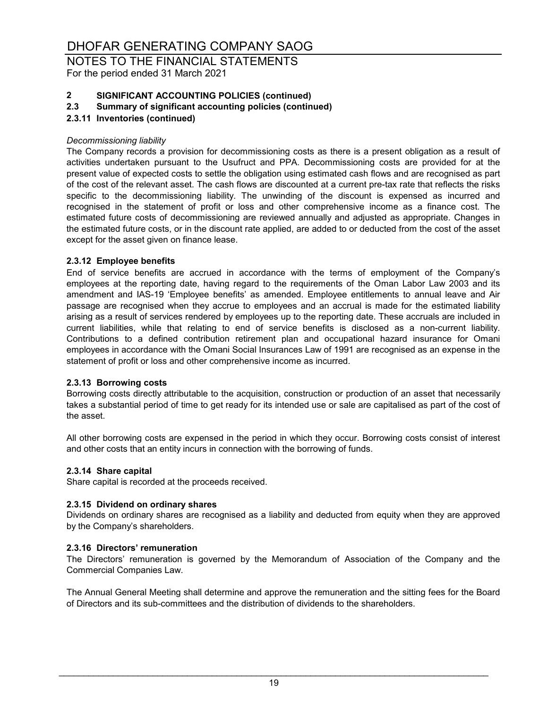NOTES TO THE FINANCIAL STATEMENTS For the period ended 31 March 2021

# **2 SIGNIFICANT ACCOUNTING POLICIES (continued)**

**2.3 Summary of significant accounting policies (continued)**

# **2.3.11 Inventories (continued)**

# *Decommissioning liability*

The Company records a provision for decommissioning costs as there is a present obligation as a result of activities undertaken pursuant to the Usufruct and PPA. Decommissioning costs are provided for at the present value of expected costs to settle the obligation using estimated cash flows and are recognised as part of the cost of the relevant asset. The cash flows are discounted at a current pre-tax rate that reflects the risks specific to the decommissioning liability. The unwinding of the discount is expensed as incurred and recognised in the statement of profit or loss and other comprehensive income as a finance cost. The estimated future costs of decommissioning are reviewed annually and adjusted as appropriate. Changes in the estimated future costs, or in the discount rate applied, are added to or deducted from the cost of the asset except for the asset given on finance lease.

# **2.3.12 Employee benefits**

End of service benefits are accrued in accordance with the terms of employment of the Company's employees at the reporting date, having regard to the requirements of the Oman Labor Law 2003 and its amendment and IAS-19 'Employee benefits' as amended. Employee entitlements to annual leave and Air passage are recognised when they accrue to employees and an accrual is made for the estimated liability arising as a result of services rendered by employees up to the reporting date. These accruals are included in current liabilities, while that relating to end of service benefits is disclosed as a non-current liability. Contributions to a defined contribution retirement plan and occupational hazard insurance for Omani employees in accordance with the Omani Social Insurances Law of 1991 are recognised as an expense in the statement of profit or loss and other comprehensive income as incurred.

# **2.3.13 Borrowing costs**

Borrowing costs directly attributable to the acquisition, construction or production of an asset that necessarily takes a substantial period of time to get ready for its intended use or sale are capitalised as part of the cost of the asset.

All other borrowing costs are expensed in the period in which they occur. Borrowing costs consist of interest and other costs that an entity incurs in connection with the borrowing of funds.

#### **2.3.14 Share capital**

Share capital is recorded at the proceeds received.

# **2.3.15 Dividend on ordinary shares**

Dividends on ordinary shares are recognised as a liability and deducted from equity when they are approved by the Company's shareholders.

# **2.3.16 Directors' remuneration**

The Directors' remuneration is governed by the Memorandum of Association of the Company and the Commercial Companies Law.

The Annual General Meeting shall determine and approve the remuneration and the sitting fees for the Board of Directors and its sub-committees and the distribution of dividends to the shareholders.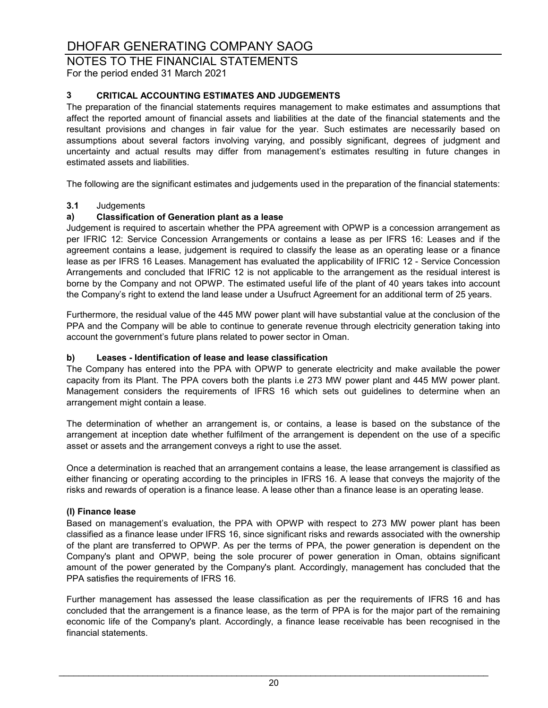# NOTES TO THE FINANCIAL STATEMENTS

For the period ended 31 March 2021

# **3 CRITICAL ACCOUNTING ESTIMATES AND JUDGEMENTS**

The preparation of the financial statements requires management to make estimates and assumptions that affect the reported amount of financial assets and liabilities at the date of the financial statements and the resultant provisions and changes in fair value for the year. Such estimates are necessarily based on assumptions about several factors involving varying, and possibly significant, degrees of judgment and uncertainty and actual results may differ from management's estimates resulting in future changes in estimated assets and liabilities.

The following are the significant estimates and judgements used in the preparation of the financial statements:

# **3.1** Judgements

# **a) Classification of Generation plant as a lease**

Judgement is required to ascertain whether the PPA agreement with OPWP is a concession arrangement as per IFRIC 12: Service Concession Arrangements or contains a lease as per IFRS 16: Leases and if the agreement contains a lease, judgement is required to classify the lease as an operating lease or a finance lease as per IFRS 16 Leases. Management has evaluated the applicability of IFRIC 12 - Service Concession Arrangements and concluded that IFRIC 12 is not applicable to the arrangement as the residual interest is borne by the Company and not OPWP. The estimated useful life of the plant of 40 years takes into account the Company's right to extend the land lease under a Usufruct Agreement for an additional term of 25 years.

Furthermore, the residual value of the 445 MW power plant will have substantial value at the conclusion of the PPA and the Company will be able to continue to generate revenue through electricity generation taking into account the government's future plans related to power sector in Oman.

# **b) Leases - Identification of lease and lease classification**

The Company has entered into the PPA with OPWP to generate electricity and make available the power capacity from its Plant. The PPA covers both the plants i.e 273 MW power plant and 445 MW power plant. Management considers the requirements of IFRS 16 which sets out guidelines to determine when an arrangement might contain a lease.

The determination of whether an arrangement is, or contains, a lease is based on the substance of the arrangement at inception date whether fulfilment of the arrangement is dependent on the use of a specific asset or assets and the arrangement conveys a right to use the asset.

Once a determination is reached that an arrangement contains a lease, the lease arrangement is classified as either financing or operating according to the principles in IFRS 16. A lease that conveys the majority of the risks and rewards of operation is a finance lease. A lease other than a finance lease is an operating lease.

# **(I) Finance lease**

Based on management's evaluation, the PPA with OPWP with respect to 273 MW power plant has been classified as a finance lease under IFRS 16, since significant risks and rewards associated with the ownership of the plant are transferred to OPWP. As per the terms of PPA, the power generation is dependent on the Company's plant and OPWP, being the sole procurer of power generation in Oman, obtains significant amount of the power generated by the Company's plant. Accordingly, management has concluded that the PPA satisfies the requirements of IFRS 16.

Further management has assessed the lease classification as per the requirements of IFRS 16 and has concluded that the arrangement is a finance lease, as the term of PPA is for the major part of the remaining economic life of the Company's plant. Accordingly, a finance lease receivable has been recognised in the financial statements.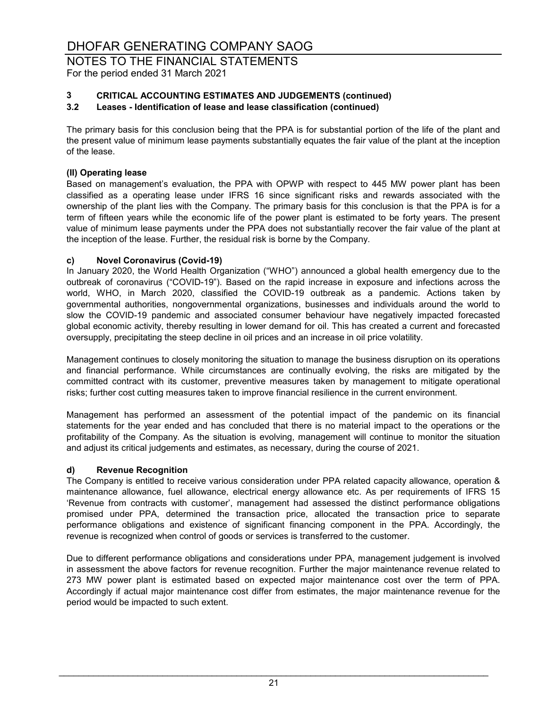# NOTES TO THE FINANCIAL STATEMENTS

For the period ended 31 March 2021

# **3 CRITICAL ACCOUNTING ESTIMATES AND JUDGEMENTS (continued)**

# **3.2 Leases - Identification of lease and lease classification (continued)**

The primary basis for this conclusion being that the PPA is for substantial portion of the life of the plant and the present value of minimum lease payments substantially equates the fair value of the plant at the inception of the lease.

# **(II) Operating lease**

Based on management's evaluation, the PPA with OPWP with respect to 445 MW power plant has been classified as a operating lease under IFRS 16 since significant risks and rewards associated with the ownership of the plant lies with the Company. The primary basis for this conclusion is that the PPA is for a term of fifteen years while the economic life of the power plant is estimated to be forty years. The present value of minimum lease payments under the PPA does not substantially recover the fair value of the plant at the inception of the lease. Further, the residual risk is borne by the Company.

# **c) Novel Coronavirus (Covid-19)**

In January 2020, the World Health Organization ("WHO") announced a global health emergency due to the outbreak of coronavirus ("COVID-19"). Based on the rapid increase in exposure and infections across the world, WHO, in March 2020, classified the COVID-19 outbreak as a pandemic. Actions taken by governmental authorities, nongovernmental organizations, businesses and individuals around the world to slow the COVID-19 pandemic and associated consumer behaviour have negatively impacted forecasted global economic activity, thereby resulting in lower demand for oil. This has created a current and forecasted oversupply, precipitating the steep decline in oil prices and an increase in oil price volatility.

Management continues to closely monitoring the situation to manage the business disruption on its operations and financial performance. While circumstances are continually evolving, the risks are mitigated by the committed contract with its customer, preventive measures taken by management to mitigate operational risks; further cost cutting measures taken to improve financial resilience in the current environment.

Management has performed an assessment of the potential impact of the pandemic on its financial statements for the year ended and has concluded that there is no material impact to the operations or the profitability of the Company. As the situation is evolving, management will continue to monitor the situation and adjust its critical judgements and estimates, as necessary, during the course of 2021.

# **d) Revenue Recognition**

The Company is entitled to receive various consideration under PPA related capacity allowance, operation & maintenance allowance, fuel allowance, electrical energy allowance etc. As per requirements of IFRS 15 'Revenue from contracts with customer', management had assessed the distinct performance obligations promised under PPA, determined the transaction price, allocated the transaction price to separate performance obligations and existence of significant financing component in the PPA. Accordingly, the revenue is recognized when control of goods or services is transferred to the customer.

Due to different performance obligations and considerations under PPA, management judgement is involved in assessment the above factors for revenue recognition. Further the major maintenance revenue related to 273 MW power plant is estimated based on expected major maintenance cost over the term of PPA. Accordingly if actual major maintenance cost differ from estimates, the major maintenance revenue for the period would be impacted to such extent.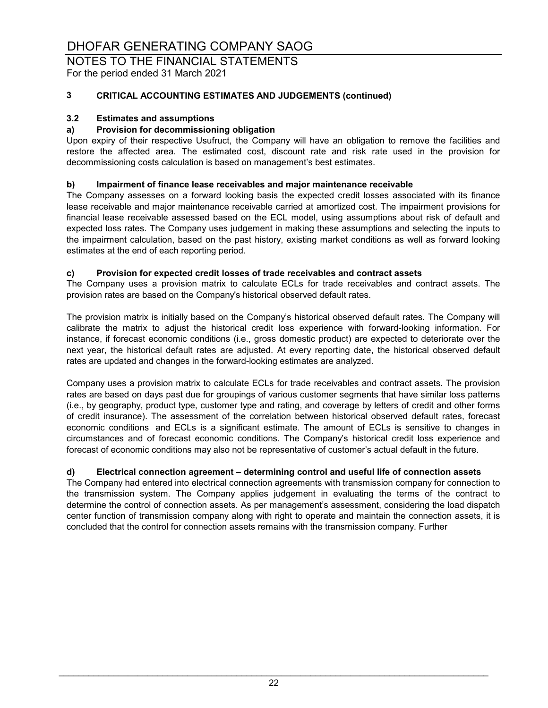# NOTES TO THE FINANCIAL STATEMENTS

For the period ended 31 March 2021

# **3 CRITICAL ACCOUNTING ESTIMATES AND JUDGEMENTS (continued)**

# **3.2 Estimates and assumptions**

# **a) Provision for decommissioning obligation**

Upon expiry of their respective Usufruct, the Company will have an obligation to remove the facilities and restore the affected area. The estimated cost, discount rate and risk rate used in the provision for decommissioning costs calculation is based on management's best estimates.

# **b) Impairment of finance lease receivables and major maintenance receivable**

The Company assesses on a forward looking basis the expected credit losses associated with its finance lease receivable and major maintenance receivable carried at amortized cost. The impairment provisions for financial lease receivable assessed based on the ECL model, using assumptions about risk of default and expected loss rates. The Company uses judgement in making these assumptions and selecting the inputs to the impairment calculation, based on the past history, existing market conditions as well as forward looking estimates at the end of each reporting period.

# **c) Provision for expected credit losses of trade receivables and contract assets**

The Company uses a provision matrix to calculate ECLs for trade receivables and contract assets. The provision rates are based on the Company's historical observed default rates.

The provision matrix is initially based on the Company's historical observed default rates. The Company will calibrate the matrix to adjust the historical credit loss experience with forward-looking information. For instance, if forecast economic conditions (i.e., gross domestic product) are expected to deteriorate over the next year, the historical default rates are adjusted. At every reporting date, the historical observed default rates are updated and changes in the forward-looking estimates are analyzed.

Company uses a provision matrix to calculate ECLs for trade receivables and contract assets. The provision rates are based on days past due for groupings of various customer segments that have similar loss patterns (i.e., by geography, product type, customer type and rating, and coverage by letters of credit and other forms of credit insurance). The assessment of the correlation between historical observed default rates, forecast economic conditions and ECLs is a significant estimate. The amount of ECLs is sensitive to changes in circumstances and of forecast economic conditions. The Company's historical credit loss experience and forecast of economic conditions may also not be representative of customer's actual default in the future.

# **d) Electrical connection agreement – determining control and useful life of connection assets**

The Company had entered into electrical connection agreements with transmission company for connection to the transmission system. The Company applies judgement in evaluating the terms of the contract to determine the control of connection assets. As per management's assessment, considering the load dispatch center function of transmission company along with right to operate and maintain the connection assets, it is concluded that the control for connection assets remains with the transmission company. Further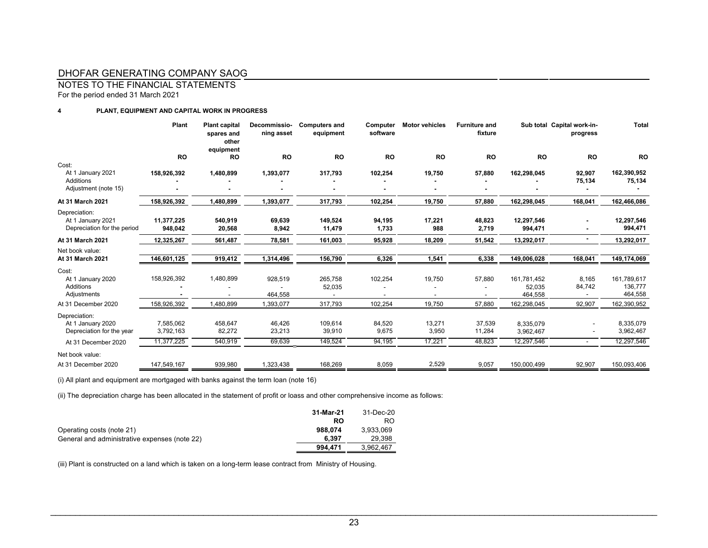NOTES TO THE FINANCIAL STATEMENTS

For the period ended 31 March 2021

#### **4 PLANT, EQUIPMENT AND CAPITAL WORK IN PROGRESS**

|                                                                                      | Plant                      | <b>Plant capital</b><br>spares and<br>other<br>equipment | Decommissio-<br>ning asset      | <b>Computers and</b><br>equipment | Computer<br>software | <b>Motor vehicles</b> | <b>Furniture and</b><br>fixture |                                                 | Sub total Capital work-in-<br>progress | <b>Total</b>                                     |
|--------------------------------------------------------------------------------------|----------------------------|----------------------------------------------------------|---------------------------------|-----------------------------------|----------------------|-----------------------|---------------------------------|-------------------------------------------------|----------------------------------------|--------------------------------------------------|
|                                                                                      | <b>RO</b>                  | <b>RO</b>                                                | <b>RO</b>                       | <b>RO</b>                         | <b>RO</b>            | <b>RO</b>             | <b>RO</b>                       | <b>RO</b>                                       | <b>RO</b>                              | <b>RO</b>                                        |
| Cost:<br>At 1 January 2021<br><b>Additions</b><br>Adjustment (note 15)               | 158,926,392                | 1,480,899                                                | 1,393,077                       | 317,793                           | 102,254              | 19,750                | 57,880                          | 162,298,045                                     | 92,907<br>75,134                       | 162,390,952<br>75,134                            |
| At 31 March 2021                                                                     | 158,926,392                | 1,480,899                                                | 1,393,077                       | 317,793                           | 102,254              | 19,750                | 57,880                          | 162,298,045                                     | 168,041                                | 162,466,086                                      |
| Depreciation:<br>At 1 January 2021<br>Depreciation for the period                    | 11,377,225<br>948,042      | 540,919<br>20,568                                        | 69,639<br>8,942                 | 149,524<br>11,479                 | 94,195<br>1,733      | 17,221<br>988         | 48,823<br>2,719                 | 12,297,546<br>994,471                           |                                        | 12,297,546<br>994,471                            |
| At 31 March 2021                                                                     | 12,325,267                 | 561,487                                                  | 78,581                          | 161,003                           | 95,928               | 18,209                | 51,542                          | 13,292,017                                      |                                        | 13,292,017                                       |
| Net book value:<br>At 31 March 2021                                                  | 146,601,125                | 919,412                                                  | 1,314,496                       | 156,790                           | 6,326                | 1,541                 | 6,338                           | 149,006,028                                     | 168,041                                | 149,174,069                                      |
| Cost:<br>At 1 January 2020<br><b>Additions</b><br>Adjustments<br>At 31 December 2020 | 158,926,392<br>158,926,392 | 1,480,899<br>1,480,899                                   | 928,519<br>464,558<br>1,393,077 | 265,758<br>52,035<br>317,793      | 102,254<br>102,254   | 19,750<br>19,750      | 57,880<br>57,880                | 161,781,452<br>52,035<br>464,558<br>162,298,045 | 8,165<br>84,742<br>92,907              | 161,789,617<br>136,777<br>464,558<br>162,390,952 |
| Depreciation:<br>At 1 January 2020<br>Depreciation for the year                      | 7.585.062<br>3,792,163     | 458,647<br>82,272                                        | 46,426<br>23,213                | 109,614<br>39,910                 | 84,520<br>9,675      | 13,271<br>3,950       | 37,539<br>11,284                | 8,335,079<br>3,962,467                          |                                        | 8,335,079<br>3,962,467                           |
| At 31 December 2020                                                                  | 11,377,225                 | 540,919                                                  | 69,639                          | 149,524                           | 94,195               | 17,221                | 48.823                          | 12,297,546                                      |                                        | 12,297,546                                       |
| Net book value:<br>At 31 December 2020                                               | 147,549,167                | 939,980                                                  | 1,323,438                       | 168,269                           | 8,059                | 2,529                 | 9,057                           | 150,000,499                                     | 92,907                                 | 150,093,406                                      |

(i) All plant and equipment are mortgaged with banks against the term loan (note 16)

(ii) The depreciation charge has been allocated in the statement of profit or loass and other comprehensive income as follows:

|                                               | 31-Mar-21 | 31-Dec-20 |
|-----------------------------------------------|-----------|-----------|
|                                               | RO        | RO        |
| Operating costs (note 21)                     | 988.074   | 3.933.069 |
| General and administrative expenses (note 22) | 6.397     | 29,398    |
|                                               | 994.471   | 3.962.467 |

(iii) Plant is constructed on a land which is taken on a long-term lease contract from Ministry of Housing.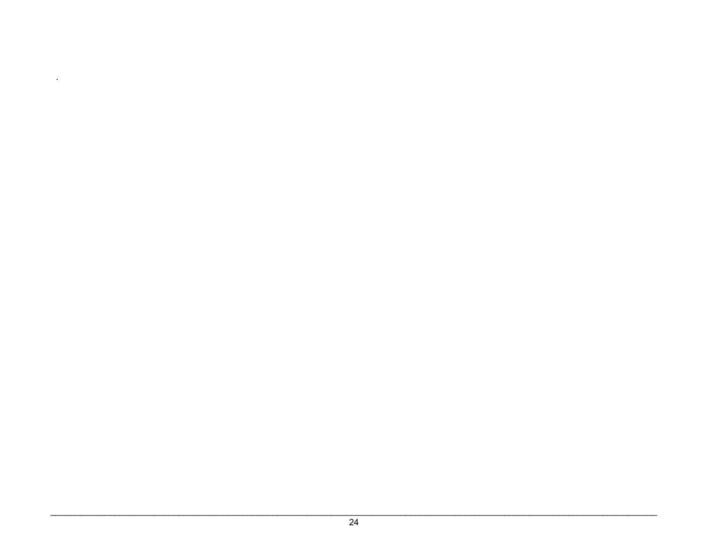$\sim 10^{-1}$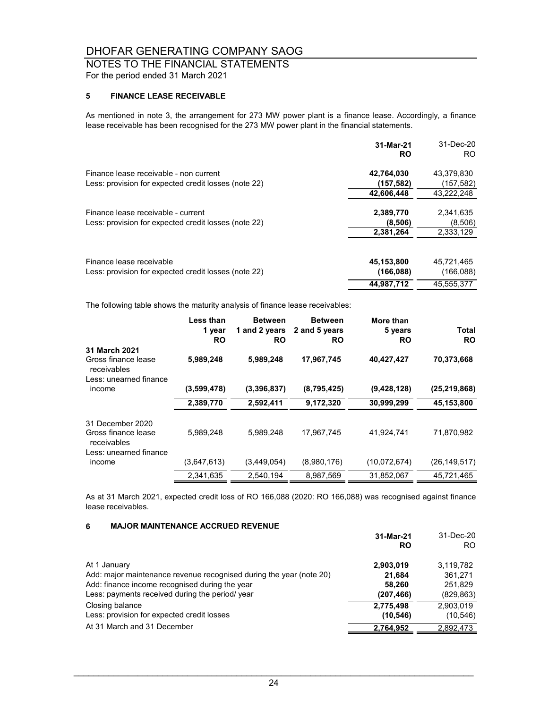# NOTES TO THE FINANCIAL STATEMENTS

For the period ended 31 March 2021

# **5 FINANCE LEASE RECEIVABLE**

As mentioned in note 3, the arrangement for 273 MW power plant is a finance lease. Accordingly, a finance lease receivable has been recognised for the 273 MW power plant in the financial statements.

|                                                                                            | 31-Mar-21<br><b>RO</b>   | 31-Dec-20<br>R <sub>O</sub> |
|--------------------------------------------------------------------------------------------|--------------------------|-----------------------------|
| Finance lease receivable - non current                                                     | 42,764,030               | 43,379,830                  |
| Less: provision for expected credit losses (note 22)                                       | (157, 582)<br>42,606,448 | (157,582)<br>43,222,248     |
| Finance lease receivable - current<br>Less: provision for expected credit losses (note 22) | 2,389,770<br>(8,506)     | 2.341.635<br>(8,506)        |
|                                                                                            | 2,381,264                | 2.333.129                   |
| Finance lease receivable<br>Less: provision for expected credit losses (note 22)           | 45,153,800<br>(166, 088) | 45.721.465<br>(166, 088)    |
|                                                                                            | 44.987.712               | 45.555.377                  |

The following table shows the maturity analysis of finance lease receivables:

|                                                        | <b>Less than</b><br>1 year<br><b>RO</b> | <b>Between</b><br>1 and 2 years<br><b>RO</b> | <b>Between</b><br>2 and 5 years<br>RO | More than<br>5 years<br><b>RO</b> | Total<br><b>RO</b> |
|--------------------------------------------------------|-----------------------------------------|----------------------------------------------|---------------------------------------|-----------------------------------|--------------------|
| 31 March 2021                                          |                                         |                                              |                                       |                                   |                    |
| Gross finance lease<br>receivables                     | 5,989,248                               | 5,989,248                                    | 17,967,745                            | 40,427,427                        | 70,373,668         |
| Less: unearned finance                                 |                                         |                                              |                                       |                                   |                    |
| income                                                 | (3,599,478)                             | (3,396,837)                                  | (8,795,425)                           | (9,428,128)                       | (25, 219, 868)     |
|                                                        | 2,389,770                               | 2,592,411                                    | 9,172,320                             | 30,999,299                        | 45,153,800         |
| 31 December 2020<br>Gross finance lease<br>receivables | 5,989,248                               | 5.989.248                                    | 17.967.745                            | 41.924.741                        | 71.870.982         |
| Less: unearned finance<br>income                       | (3,647,613)                             | (3,449,054)                                  | (8,980,176)                           | (10.072.674)                      | (26, 149, 517)     |
|                                                        | 2.341.635                               | 2,540,194                                    | 8,987,569                             | 31,852,067                        | 45,721,465         |

As at 31 March 2021, expected credit loss of RO 166,088 (2020: RO 166,088) was recognised against finance lease receivables.

### **6 MAJOR MAINTENANCE ACCRUED REVENUE**

|                                                                     | 31-Mar-21<br>RO | 31-Dec-20<br>RO. |
|---------------------------------------------------------------------|-----------------|------------------|
| At 1 January                                                        | 2,903,019       | 3,119,782        |
| Add: major maintenance revenue recognised during the year (note 20) | 21.684          | 361.271          |
| Add: finance income recognised during the year                      | 58.260          | 251,829          |
| Less: payments received during the period/ year                     | (207, 466)      | (829, 863)       |
| Closing balance                                                     | 2,775,498       | 2,903,019        |
| Less: provision for expected credit losses                          | (10, 546)       | (10, 546)        |
| At 31 March and 31 December                                         | 2,764,952       | 2,892,473        |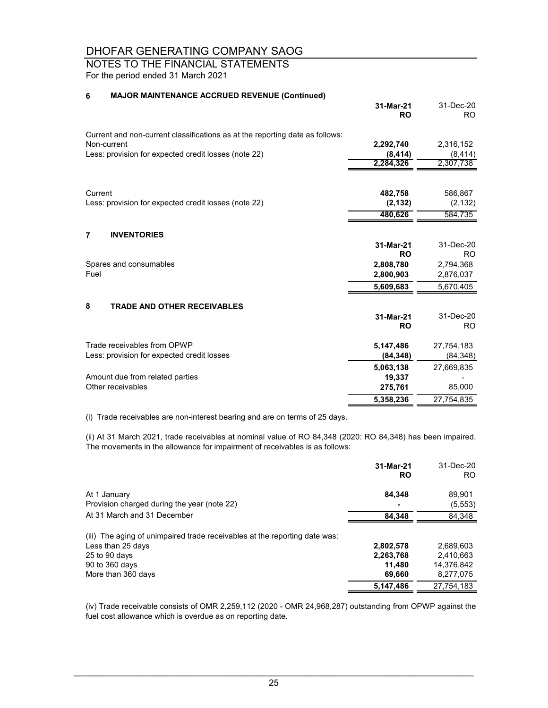# NOTES TO THE FINANCIAL STATEMENTS

For the period ended 31 March 2021

# **6 MAJOR MAINTENANCE ACCRUED REVENUE (Continued)**

|                                                                              | 31-Mar-21<br><b>RO</b> | 31-Dec-20<br>RO. |
|------------------------------------------------------------------------------|------------------------|------------------|
|                                                                              |                        |                  |
| Current and non-current classifications as at the reporting date as follows: |                        |                  |
| Non-current                                                                  | 2,292,740              | 2,316,152        |
| Less: provision for expected credit losses (note 22)                         | (8, 414)               | (8, 414)         |
|                                                                              | 2,284,326              | 2,307,738        |
|                                                                              |                        |                  |
| Current                                                                      | 482,758                | 586,867          |
| Less: provision for expected credit losses (note 22)                         | (2, 132)               | (2, 132)         |
|                                                                              | 480,626                | 584,735          |
|                                                                              |                        |                  |
| <b>INVENTORIES</b><br>$\overline{7}$                                         |                        |                  |
|                                                                              | 31-Mar-21              | 31-Dec-20        |
|                                                                              | <b>RO</b>              | RO.              |
| Spares and consumables                                                       | 2,808,780              | 2,794,368        |
| Fuel                                                                         | 2,800,903              | 2,876,037        |
|                                                                              | 5,609,683              | 5,670,405        |
|                                                                              |                        |                  |
| 8<br><b>TRADE AND OTHER RECEIVABLES</b>                                      |                        |                  |
|                                                                              | 31-Mar-21              | 31-Dec-20        |
|                                                                              | <b>RO</b>              | RO.              |
| Trade receivables from OPWP                                                  | 5,147,486              | 27,754,183       |
| Less: provision for expected credit losses                                   | (84, 348)              | (84, 348)        |
|                                                                              | 5,063,138              | 27,669,835       |
| Amount due from related parties                                              | 19,337                 |                  |
| Other receivables                                                            | 275,761                | 85,000           |
|                                                                              | 5.358.236              | 27,754,835       |

(i) Trade receivables are non-interest bearing and are on terms of 25 days.

(ii) At 31 March 2021, trade receivables at nominal value of RO 84,348 (2020: RO 84,348) has been impaired. The movements in the allowance for impairment of receivables is as follows:

|                                                                            | 31-Mar-21<br>RO | 31-Dec-20<br>R <sub>O</sub> |
|----------------------------------------------------------------------------|-----------------|-----------------------------|
| At 1 January<br>Provision charged during the year (note 22)                | 84.348          | 89,901<br>(5, 553)          |
| At 31 March and 31 December                                                | 84.348          | 84,348                      |
| (iii) The aging of unimpaired trade receivables at the reporting date was: |                 |                             |
| Less than 25 days                                                          | 2,802,578       | 2.689.603                   |
| $25$ to $90$ days                                                          | 2.263.768       | 2.410.663                   |
| 90 to 360 days                                                             | 11.480          | 14,376,842                  |
| More than 360 days                                                         | 69,660          | 8,277,075                   |
|                                                                            | 5.147.486       | 27,754,183                  |

(iv) Trade receivable consists of OMR 2,259,112 (2020 - OMR 24,968,287) outstanding from OPWP against the fuel cost allowance which is overdue as on reporting date.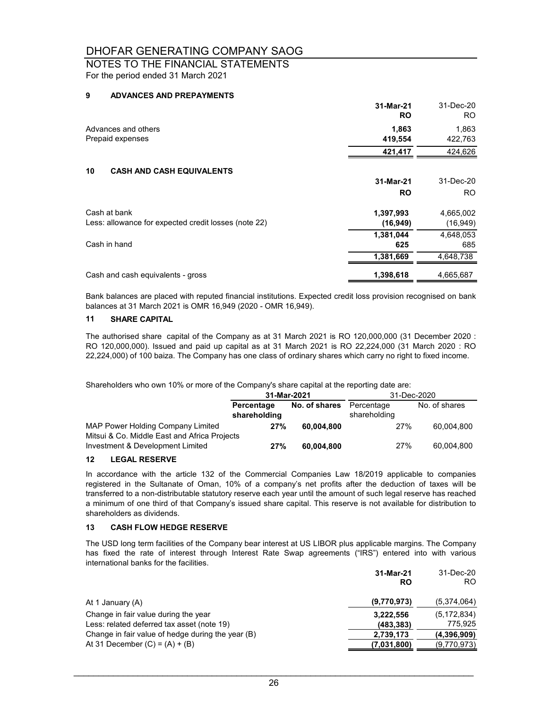# NOTES TO THE FINANCIAL STATEMENTS

For the period ended 31 March 2021

#### **9 ADVANCES AND PREPAYMENTS**

|                                                      | 31-Mar-21<br><b>RO</b> | 31-Dec-20<br>RO. |
|------------------------------------------------------|------------------------|------------------|
| Advances and others                                  | 1,863                  | 1,863            |
| Prepaid expenses                                     | 419,554                | 422,763          |
|                                                      | 421,417                | 424,626          |
| 10<br><b>CASH AND CASH EQUIVALENTS</b>               |                        |                  |
|                                                      | 31-Mar-21              | 31-Dec-20        |
|                                                      | <b>RO</b>              | RO.              |
| Cash at bank                                         | 1,397,993              | 4,665,002        |
| Less: allowance for expected credit losses (note 22) | (16, 949)              | (16, 949)        |
|                                                      | 1,381,044              | 4,648,053        |
| Cash in hand                                         | 625                    | 685              |
|                                                      | 1,381,669              | 4,648,738        |
| Cash and cash equivalents - gross                    | 1,398,618              | 4,665,687        |

Bank balances are placed with reputed financial institutions. Expected credit loss provision recognised on bank balances at 31 March 2021 is OMR 16,949 (2020 - OMR 16,949).

#### **11 SHARE CAPITAL**

The authorised share capital of the Company as at 31 March 2021 is RO 120,000,000 (31 December 2020 : RO 120,000,000). Issued and paid up capital as at 31 March 2021 is RO 22,224,000 (31 March 2020 : RO 22,224,000) of 100 baiza. The Company has one class of ordinary shares which carry no right to fixed income.

Shareholders who own 10% or more of the Company's share capital at the reporting date are:

|                                                                                   | 31-Mar-2021                |               | 31-Dec-2020                |               |
|-----------------------------------------------------------------------------------|----------------------------|---------------|----------------------------|---------------|
|                                                                                   | Percentage<br>shareholding | No. of shares | Percentage<br>shareholding | No. of shares |
| MAP Power Holding Company Limited<br>Mitsui & Co. Middle East and Africa Projects | 27%                        | 60.004.800    | 27%                        | 60.004.800    |
| Investment & Development Limited                                                  | 27%                        | 60.004.800    | 27%                        | 60.004.800    |

#### **12 LEGAL RESERVE**

In accordance with the article 132 of the Commercial Companies Law 18/2019 applicable to companies registered in the Sultanate of Oman, 10% of a company's net profits after the deduction of taxes will be transferred to a non-distributable statutory reserve each year until the amount of such legal reserve has reached a minimum of one third of that Company's issued share capital. This reserve is not available for distribution to shareholders as dividends.

#### **13 CASH FLOW HEDGE RESERVE**

The USD long term facilities of the Company bear interest at US LIBOR plus applicable margins. The Company has fixed the rate of interest through Interest Rate Swap agreements ("IRS") entered into with various international banks for the facilities.

|                                                   | 31-Mar-21<br>RO | 31-Dec-20<br>RO. |
|---------------------------------------------------|-----------------|------------------|
| At 1 January (A)                                  | (9,770,973)     | (5,374,064)      |
| Change in fair value during the year              | 3,222,556       | (5, 172, 834)    |
| Less: related deferred tax asset (note 19)        | (483, 383)      | 775,925          |
| Change in fair value of hedge during the year (B) | 2,739,173       | (4,396,909)      |
| At 31 December $(C) = (A) + (B)$                  | (7,031,800)     | (9,770,973)      |
|                                                   |                 |                  |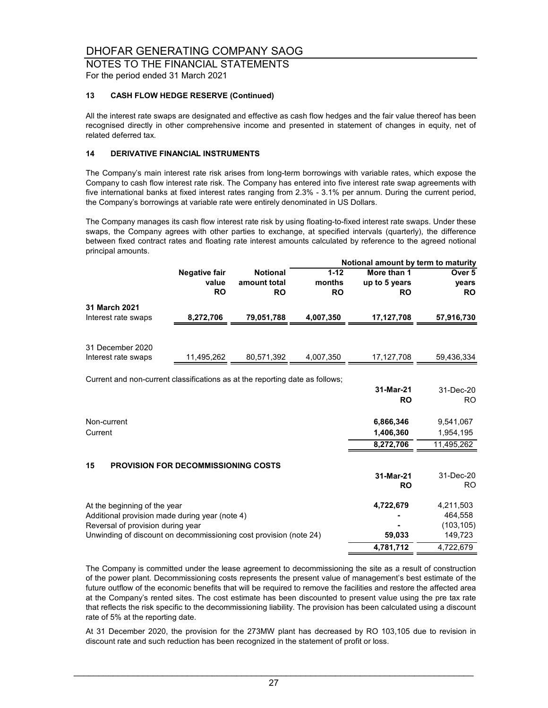# NOTES TO THE FINANCIAL STATEMENTS

For the period ended 31 March 2021

#### **13 CASH FLOW HEDGE RESERVE (Continued)**

All the interest rate swaps are designated and effective as cash flow hedges and the fair value thereof has been recognised directly in other comprehensive income and presented in statement of changes in equity, net of related deferred tax.

#### **14 DERIVATIVE FINANCIAL INSTRUMENTS**

The Company's main interest rate risk arises from long-term borrowings with variable rates, which expose the Company to cash flow interest rate risk. The Company has entered into five interest rate swap agreements with five international banks at fixed interest rates ranging from 2.3% - 3.1% per annum. During the current period, the Company's borrowings at variable rate were entirely denominated in US Dollars.

The Company manages its cash flow interest rate risk by using floating-to-fixed interest rate swaps. Under these swaps, the Company agrees with other parties to exchange, at specified intervals (quarterly), the difference between fixed contract rates and floating rate interest amounts calculated by reference to the agreed notional principal amounts.

|                                                                              |                      |                 |           | Notional amount by term to maturity |                   |
|------------------------------------------------------------------------------|----------------------|-----------------|-----------|-------------------------------------|-------------------|
|                                                                              | <b>Negative fair</b> | <b>Notional</b> | $1 - 12$  | More than 1                         | Over <sub>5</sub> |
|                                                                              | value                | amount total    | months    | up to 5 years                       | vears             |
|                                                                              | <b>RO</b>            | <b>RO</b>       | <b>RO</b> | <b>RO</b>                           | <b>RO</b>         |
| 31 March 2021                                                                |                      |                 |           |                                     |                   |
| Interest rate swaps                                                          | 8,272,706            | 79,051,788      | 4,007,350 | 17, 127, 708                        | 57,916,730        |
|                                                                              |                      |                 |           |                                     |                   |
| 31 December 2020                                                             |                      |                 |           |                                     |                   |
| Interest rate swaps                                                          | 11,495,262           | 80,571,392      | 4,007,350 | 17,127,708                          | 59,436,334        |
| Current and non-current classifications as at the reporting date as follows; |                      |                 |           |                                     |                   |
|                                                                              |                      |                 |           | 31-Mar-21                           | 31-Dec-20         |
|                                                                              |                      |                 |           | <b>RO</b>                           | <b>RO</b>         |
| Non-current                                                                  |                      |                 |           | 6,866,346                           | 9,541,067         |
| Current                                                                      |                      |                 |           |                                     |                   |
|                                                                              |                      |                 |           | 1,406,360                           | 1,954,195         |
|                                                                              |                      |                 |           | 8,272,706                           | 11,495,262        |
| 15<br><b>PROVISION FOR DECOMMISSIONING COSTS</b>                             |                      |                 |           |                                     |                   |
|                                                                              |                      |                 |           | 31-Mar-21                           | 31-Dec-20         |
|                                                                              |                      |                 |           | <b>RO</b>                           | <b>RO</b>         |
| At the beginning of the year                                                 |                      |                 |           | 4,722,679                           | 4,211,503         |
| Additional provision made during year (note 4)                               |                      |                 |           |                                     | 464,558           |
| Reversal of provision during year                                            |                      |                 |           |                                     | (103, 105)        |
| Unwinding of discount on decommissioning cost provision (note 24)            |                      |                 |           | 59,033                              | 149,723           |
|                                                                              |                      |                 |           | 4,781,712                           | 4,722,679         |

The Company is committed under the lease agreement to decommissioning the site as a result of construction of the power plant. Decommissioning costs represents the present value of management's best estimate of the future outflow of the economic benefits that will be required to remove the facilities and restore the affected area at the Company's rented sites. The cost estimate has been discounted to present value using the pre tax rate that reflects the risk specific to the decommissioning liability. The provision has been calculated using a discount rate of 5% at the reporting date.

At 31 December 2020, the provision for the 273MW plant has decreased by RO 103,105 due to revision in discount rate and such reduction has been recognized in the statement of profit or loss.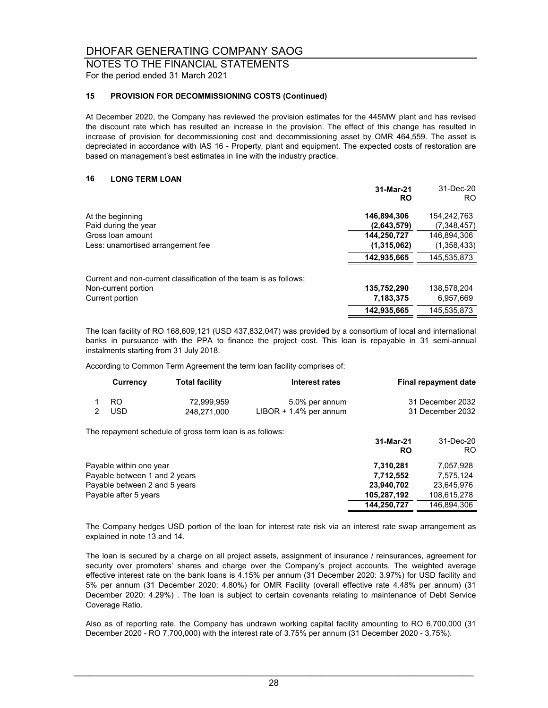# NOTES TO THE FINANCIAL STATEMENTS

For the period ended 31 March 2021

#### **15 PROVISION FOR DECOMMISSIONING COSTS (Continued)**

At December 2020, the Company has reviewed the provision estimates for the 445MW plant and has revised the discount rate which has resulted an increase in the provision. The effect of this change has resulted in increase of provision for decommissioning cost and decommissioning asset by OMR 464,559. The asset is depreciated in accordance with IAS 16 - Property, plant and equipment. The expected costs of restoration are based on management's best estimates in line with the industry practice.

#### **16 LONG TERM LOAN**

|                                                                   | 31-Mar-21<br><b>RO</b> | 31-Dec-20<br>RO. |
|-------------------------------------------------------------------|------------------------|------------------|
| At the beginning                                                  | 146,894,306            | 154.242.763      |
| Paid during the year                                              | (2,643,579)            | (7,348,457)      |
| Gross loan amount                                                 | 144,250,727            | 146,894,306      |
| Less: unamortised arrangement fee                                 | (1,315,062)            | (1,358,433)      |
|                                                                   | 142,935,665            | 145,535,873      |
| Current and non-current classification of the team is as follows; |                        |                  |
| Non-current portion                                               | 135,752,290            | 138.578.204      |
| Current portion                                                   | 7,183,375              | 6.957.669        |
|                                                                   | 142,935,665            | 145.535.873      |

The loan facility of RO 168,609,121 (USD 437,832,047) was provided by a consortium of local and international banks in pursuance with the PPA to finance the project cost. This loan is repayable in 31 semi-annual instalments starting from 31 July 2018.

According to Common Term Agreement the term loan facility comprises of:

| Currency | <b>Total facility</b> | Interest rates            | Final repayment date |
|----------|-----------------------|---------------------------|----------------------|
| 1 RO     | 72.999.959            | 5.0% per annum            | 31 December 2032     |
| USD.     | 248.271.000           | $LIBOR + 1.4\%$ per annum | 31 December 2032     |

The repayment schedule of gross term loan is as follows:

|                               | 31-Mar-21<br>RO | 31-Dec-20<br>RO. |
|-------------------------------|-----------------|------------------|
| Payable within one year       | 7.310.281       | 7.057.928        |
| Payable between 1 and 2 years | 7.712.552       | 7.575.124        |
| Payable between 2 and 5 years | 23.940.702      | 23.645.976       |
| Payable after 5 years         | 105.287.192     | 108.615.278      |
|                               | 144.250.727     | 146.894.306      |

The Company hedges USD portion of the loan for interest rate risk via an interest rate swap arrangement as explained in note 13 and 14.

The loan is secured by a charge on all project assets, assignment of insurance / reinsurances, agreement for security over promoters' shares and charge over the Company's project accounts. The weighted average effective interest rate on the bank loans is 4.15% per annum (31 December 2020: 3.97%) for USD facility and 5% per annum (31 December 2020: 4.80%) for OMR Facility (overall effective rate 4.48% per annum) (31 December 2020: 4.29%) . The loan is subject to certain covenants relating to maintenance of Debt Service Coverage Ratio.

Also as of reporting rate, the Company has undrawn working capital facility amounting to RO 6,700,000 (31 December 2020 - RO 7,700,000) with the interest rate of 3.75% per annum (31 December 2020 - 3.75%).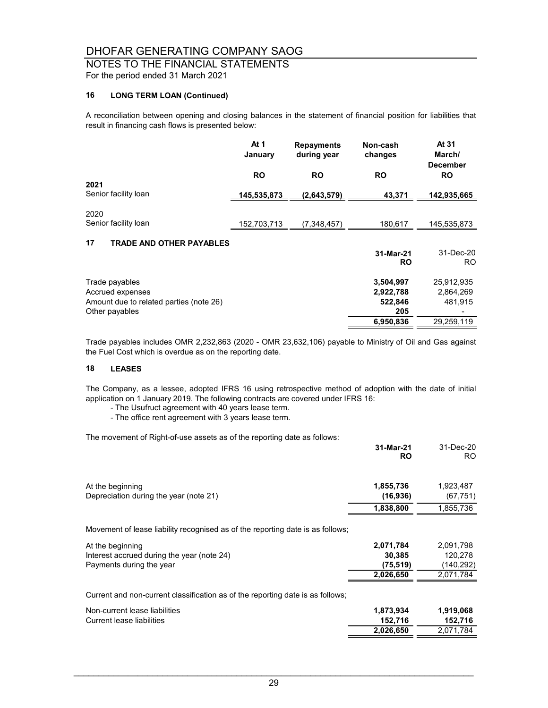# NOTES TO THE FINANCIAL STATEMENTS

For the period ended 31 March 2021

### **16 LONG TERM LOAN (Continued)**

A reconciliation between opening and closing balances in the statement of financial position for liabilities that result in financing cash flows is presented below:

|                                         | At 1<br>January | <b>Repayments</b><br>during year | Non-cash<br>changes    | At 31<br>March/<br><b>December</b> |
|-----------------------------------------|-----------------|----------------------------------|------------------------|------------------------------------|
|                                         | <b>RO</b>       | <b>RO</b>                        | <b>RO</b>              | RO                                 |
| 2021                                    |                 |                                  |                        |                                    |
| Senior facility loan                    | 145,535,873     | (2,643,579)                      | 43,371                 | 142,935,665                        |
| 2020                                    |                 |                                  |                        |                                    |
| Senior facility loan                    | 152,703,713     | (7,348,457)                      | 180,617                | 145,535,873                        |
| 17<br><b>TRADE AND OTHER PAYABLES</b>   |                 |                                  |                        |                                    |
|                                         |                 |                                  | 31-Mar-21<br><b>RO</b> | 31-Dec-20<br>RO.                   |
| Trade payables                          |                 |                                  | 3,504,997              | 25,912,935                         |
| Accrued expenses                        |                 |                                  | 2,922,788              | 2,864,269                          |
| Amount due to related parties (note 26) |                 |                                  | 522,846                | 481,915                            |
| Other payables                          |                 |                                  | 205                    |                                    |

Trade payables includes OMR 2,232,863 (2020 - OMR 23,632,106) payable to Ministry of Oil and Gas against the Fuel Cost which is overdue as on the reporting date.

 **6,950,836** 29,259,119

Other payables 205<br>
205<br>
205,0336<br>
205,0336

#### **18 LEASES**

The Company, as a lessee, adopted IFRS 16 using retrospective method of adoption with the date of initial application on 1 January 2019. The following contracts are covered under IFRS 16:

- The Usufruct agreement with 40 years lease term.
- The office rent agreement with 3 years lease term.

The movement of Right-of-use assets as of the reporting date as follows:

|                                                                                | 31-Mar-21<br>RO        | 31-Dec-20<br>RO.       |
|--------------------------------------------------------------------------------|------------------------|------------------------|
| At the beginning<br>Depreciation during the year (note 21)                     | 1,855,736<br>(16, 936) | 1,923,487<br>(67, 751) |
|                                                                                | 1,838,800              | 1,855,736              |
| Movement of lease liability recognised as of the reporting date is as follows; |                        |                        |

| At the beginning                           | 2.071.784 | 2.091.798 |
|--------------------------------------------|-----------|-----------|
| Interest accrued during the year (note 24) | 30.385    | 120.278   |
| Payments during the year                   | (75.519)  | (140.292) |
|                                            | 2.026.650 | 2.071.784 |

Current and non-current classification as of the reporting date is as follows;

| Non-current lease liabilities | 1.873.934 | 1.919.068 |
|-------------------------------|-----------|-----------|
| Current lease liabilities     | 152.716   | 152.716   |
|                               | 2.026.650 | 2.071.784 |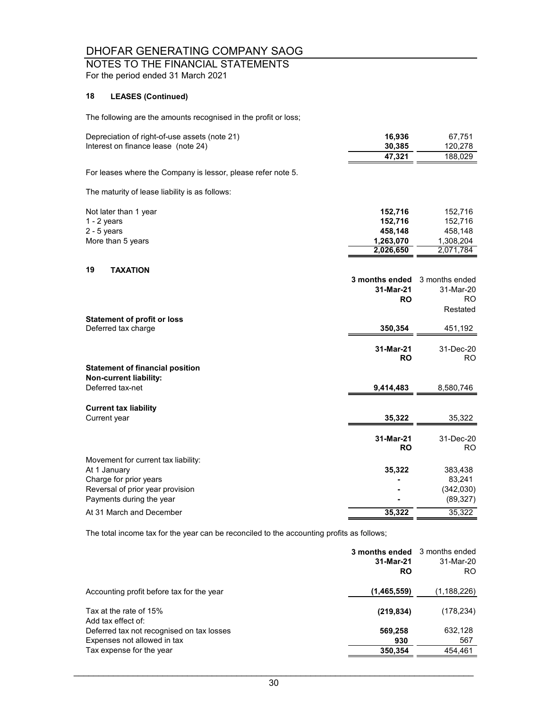# NOTES TO THE FINANCIAL STATEMENTS

For the period ended 31 March 2021

### **18 LEASES (Continued)**

The following are the amounts recognised in the profit or loss;

| Depreciation of right-of-use assets (note 21)<br>Interest on finance lease (note 24)                                                          | 16,936<br>30,385<br>47,321                              | 67,751<br>120,278<br>188,029                            |
|-----------------------------------------------------------------------------------------------------------------------------------------------|---------------------------------------------------------|---------------------------------------------------------|
| For leases where the Company is lessor, please refer note 5.                                                                                  |                                                         |                                                         |
| The maturity of lease liability is as follows:                                                                                                |                                                         |                                                         |
| Not later than 1 year<br>$1 - 2$ years<br>$2 - 5$ years<br>More than 5 years                                                                  | 152,716<br>152,716<br>458,148<br>1,263,070<br>2,026,650 | 152,716<br>152,716<br>458,148<br>1,308,204<br>2,071,784 |
| 19<br><b>TAXATION</b>                                                                                                                         | 3 months ended<br>31-Mar-21<br>RO                       | 3 months ended<br>31-Mar-20<br>RO.<br>Restated          |
| <b>Statement of profit or loss</b><br>Deferred tax charge                                                                                     | 350,354                                                 | 451,192                                                 |
|                                                                                                                                               | 31-Mar-21<br>RO                                         | 31-Dec-20<br>RO.                                        |
| <b>Statement of financial position</b><br>Non-current liability:                                                                              |                                                         |                                                         |
| Deferred tax-net                                                                                                                              | 9,414,483                                               | 8,580,746                                               |
| <b>Current tax liability</b><br>Current year                                                                                                  | 35,322                                                  | 35,322                                                  |
|                                                                                                                                               | 31-Mar-21<br>RO                                         | 31-Dec-20<br><b>RO</b>                                  |
| Movement for current tax liability:<br>At 1 January<br>Charge for prior years<br>Reversal of prior year provision<br>Payments during the year | 35,322                                                  | 383,438<br>83,241<br>(342,030)<br>(89, 327)             |
| At 31 March and December                                                                                                                      | 35,322                                                  | 35,322                                                  |

The total income tax for the year can be reconciled to the accounting profits as follows;

|                                              | <b>3 months ended</b> 3 months ended<br>31-Mar-21<br><b>RO</b> | 31-Mar-20<br>RO. |
|----------------------------------------------|----------------------------------------------------------------|------------------|
| Accounting profit before tax for the year    | (1,465,559)                                                    | (1, 188, 226)    |
| Tax at the rate of 15%<br>Add tax effect of: | (219, 834)                                                     | (178, 234)       |
| Deferred tax not recognised on tax losses    | 569,258                                                        | 632,128          |
| Expenses not allowed in tax                  | 930                                                            | 567              |
| Tax expense for the year                     | 350.354                                                        | 454,461          |
|                                              |                                                                |                  |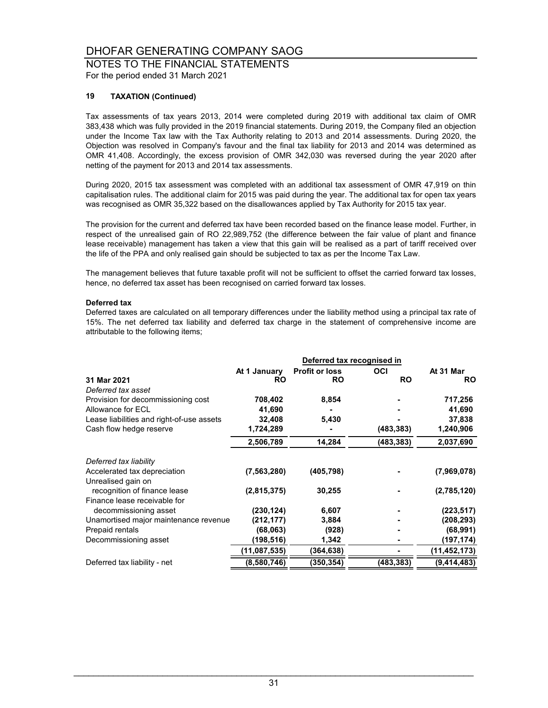# NOTES TO THE FINANCIAL STATEMENTS

For the period ended 31 March 2021

#### **19 TAXATION (Continued)**

Tax assessments of tax years 2013, 2014 were completed during 2019 with additional tax claim of OMR 383,438 which was fully provided in the 2019 financial statements. During 2019, the Company filed an objection under the Income Tax law with the Tax Authority relating to 2013 and 2014 assessments. During 2020, the Objection was resolved in Company's favour and the final tax liability for 2013 and 2014 was determined as OMR 41,408. Accordingly, the excess provision of OMR 342,030 was reversed during the year 2020 after netting of the payment for 2013 and 2014 tax assessments.

During 2020, 2015 tax assessment was completed with an additional tax assessment of OMR 47,919 on thin capitalisation rules. The additional claim for 2015 was paid during the year. The additional tax for open tax years was recognised as OMR 35,322 based on the disallowances applied by Tax Authority for 2015 tax year.

The provision for the current and deferred tax have been recorded based on the finance lease model. Further, in respect of the unrealised gain of RO 22,989,752 (the difference between the fair value of plant and finance lease receivable) management has taken a view that this gain will be realised as a part of tariff received over the life of the PPA and only realised gain should be subjected to tax as per the Income Tax Law.

The management believes that future taxable profit will not be sufficient to offset the carried forward tax losses, hence, no deferred tax asset has been recognised on carried forward tax losses.

#### **Deferred tax**

Deferred taxes are calculated on all temporary differences under the liability method using a principal tax rate of 15%. The net deferred tax liability and deferred tax charge in the statement of comprehensive income are attributable to the following items;

|                                           |              | Deferred tax recognised in |            |                |
|-------------------------------------------|--------------|----------------------------|------------|----------------|
|                                           | At 1 January | <b>Profit or loss</b>      | OCI        | At 31 Mar      |
| 31 Mar 2021                               | <b>RO</b>    | <b>RO</b>                  | <b>RO</b>  | <b>RO</b>      |
| Deferred tax asset                        |              |                            |            |                |
| Provision for decommissioning cost        | 708,402      | 8,854                      |            | 717,256        |
| Allowance for ECL                         | 41,690       |                            |            | 41,690         |
| Lease liabilities and right-of-use assets | 32,408       | 5,430                      |            | 37,838         |
| Cash flow hedge reserve                   | 1,724,289    |                            | (483, 383) | 1,240,906      |
|                                           | 2,506,789    | 14,284                     | (483, 383) | 2,037,690      |
| Deferred tax liability                    |              |                            |            |                |
| Accelerated tax depreciation              | (7,563,280)  | (405, 798)                 |            | (7,969,078)    |
| Unrealised gain on                        |              |                            |            |                |
| recognition of finance lease              | (2,815,375)  | 30,255                     |            | (2,785,120)    |
| Finance lease receivable for              |              |                            |            |                |
| decommissioning asset                     | (230, 124)   | 6,607                      |            | (223, 517)     |
| Unamortised major maintenance revenue     | (212,177)    | 3,884                      |            | (208,293)      |
| Prepaid rentals                           | (68,063)     | (928)                      |            | (68, 991)      |
| Decommissioning asset                     | (198,516)    | 1,342                      |            | (197,174)      |
|                                           | (11,087,535) | (364,638)                  |            | (11, 452, 173) |
| Deferred tax liability - net              | (8,580,746)  | (350,354)                  | (483, 383) | (9,414,483)    |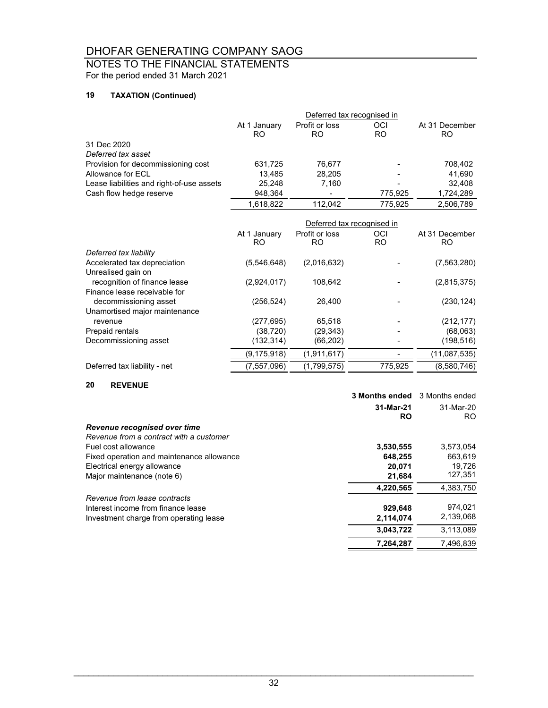# NOTES TO THE FINANCIAL STATEMENTS

For the period ended 31 March 2021

# **19 TAXATION (Continued)**

|                                           |               |                | Deferred tax recognised in |                |
|-------------------------------------------|---------------|----------------|----------------------------|----------------|
|                                           | At 1 January  | Profit or loss | <b>OCI</b>                 | At 31 December |
|                                           | <b>RO</b>     | <b>RO</b>      | R <sub>O</sub>             | <b>RO</b>      |
| 31 Dec 2020                               |               |                |                            |                |
| Deferred tax asset                        |               |                |                            |                |
| Provision for decommissioning cost        | 631,725       | 76,677         |                            | 708,402        |
| Allowance for ECL                         | 13,485        | 28,205         |                            | 41,690         |
| Lease liabilities and right-of-use assets | 25,248        | 7,160          |                            | 32,408         |
| Cash flow hedge reserve                   | 948,364       |                | 775,925                    | 1,724,289      |
|                                           | 1,618,822     | 112,042        | 775,925                    | 2,506,789      |
|                                           |               |                |                            |                |
|                                           |               |                | Deferred tax recognised in |                |
|                                           | At 1 January  | Profit or loss | <b>OCI</b>                 | At 31 December |
|                                           | RO            | RO             | R <sub>O</sub>             | RO.            |
| Deferred tax liability                    |               |                |                            |                |
| Accelerated tax depreciation              | (5,546,648)   | (2,016,632)    |                            | (7, 563, 280)  |
| Unrealised gain on                        |               |                |                            |                |
| recognition of finance lease              | (2,924,017)   | 108,642        |                            | (2,815,375)    |
| Finance lease receivable for              |               |                |                            |                |
| decommissioning asset                     | (256, 524)    | 26,400         |                            | (230, 124)     |
| Unamortised major maintenance             |               |                |                            |                |
| revenue                                   | (277, 695)    | 65,518         |                            | (212, 177)     |
| Prepaid rentals                           | (38, 720)     | (29, 343)      |                            | (68,063)       |
| Decommissioning asset                     | (132, 314)    | (66, 202)      |                            | (198, 516)     |
|                                           | (9, 175, 918) | (1,911,617)    |                            | (11,087,535)   |
| Deferred tax liability - net              | (7, 557, 096) | (1,799,575)    | 775,925                    | (8,580,746)    |
|                                           |               |                |                            |                |
| 20<br><b>REVENUE</b>                      |               |                |                            |                |
|                                           |               |                | 3 Months ended             | 3 Months ended |

|                                           | 31-Mar-21<br><b>RO</b> | 31-Mar-20<br>RO. |
|-------------------------------------------|------------------------|------------------|
| Revenue recognised over time              |                        |                  |
| Revenue from a contract with a customer   |                        |                  |
| Fuel cost allowance                       | 3,530,555              | 3,573,054        |
| Fixed operation and maintenance allowance | 648.255                | 663,619          |
| Electrical energy allowance               | 20.071                 | 19.726           |
| Major maintenance (note 6)                | 21,684                 | 127,351          |
|                                           | 4,220,565              | 4,383,750        |
| Revenue from lease contracts              |                        |                  |
| Interest income from finance lease        | 929.648                | 974.021          |
| Investment charge from operating lease    | 2,114,074              | 2,139,068        |
|                                           | 3,043,722              | 3,113,089        |
|                                           | 7.264.287              | 7,496,839        |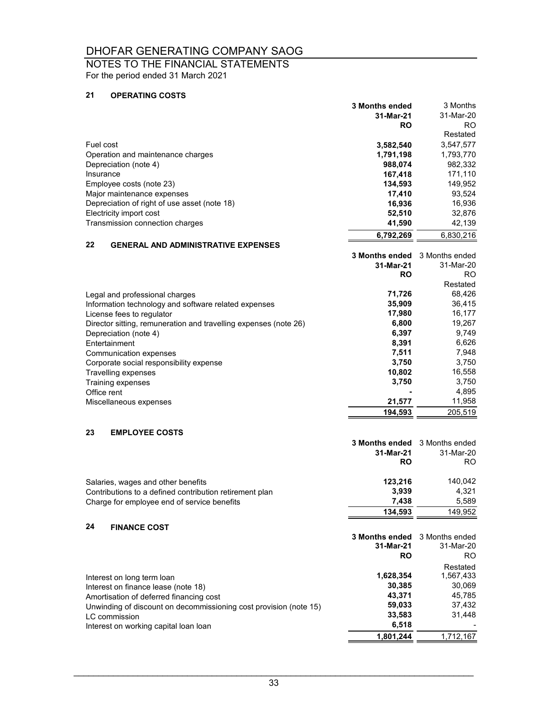# NOTES TO THE FINANCIAL STATEMENTS

For the period ended 31 March 2021

# **21 OPERATING COSTS**

|                                                                  | <b>3 Months ended</b><br>31-Mar-21<br><b>RO</b> | 3 Months<br>31-Mar-20<br>RO.<br>Restated |
|------------------------------------------------------------------|-------------------------------------------------|------------------------------------------|
| Fuel cost                                                        | 3,582,540                                       | 3,547,577                                |
| Operation and maintenance charges                                | 1,791,198                                       | 1,793,770                                |
| Depreciation (note 4)                                            | 988,074                                         | 982,332                                  |
| Insurance                                                        | 167,418                                         | 171,110                                  |
| Employee costs (note 23)                                         | 134,593                                         | 149,952                                  |
| Major maintenance expenses                                       | 17.410                                          | 93,524                                   |
| Depreciation of right of use asset (note 18)                     | 16,936                                          | 16,936                                   |
| Electricity import cost                                          | 52,510                                          | 32,876                                   |
| Transmission connection charges                                  | 41,590                                          | 42,139                                   |
|                                                                  | 6,792,269                                       | 6,830,216                                |
| 22<br><b>GENERAL AND ADMINISTRATIVE EXPENSES</b>                 |                                                 |                                          |
|                                                                  | <b>3 Months ended</b>                           | 3 Months ended                           |
|                                                                  | 31-Mar-21                                       | 31-Mar-20                                |
|                                                                  | <b>RO</b>                                       | RO.                                      |
|                                                                  |                                                 | Restated                                 |
| Legal and professional charges                                   | 71,726                                          | 68,426                                   |
| Information technology and software related expenses             | 35,909                                          | 36,415                                   |
| License fees to regulator                                        | 17,980                                          | 16,177                                   |
| Director sitting, remuneration and travelling expenses (note 26) | 6,800                                           | 19,267                                   |
| Depreciation (note 4)                                            | 6,397                                           | 9,749                                    |
| Entertainment                                                    | 8,391                                           | 6,626                                    |
| Communication expenses                                           | 7,511                                           | 7,948                                    |
| Corporate social responsibility expense                          | 3,750                                           | 3,750                                    |
| <b>Travelling expenses</b>                                       | 10,802                                          | 16,558                                   |
| Training expenses                                                | 3,750                                           | 3,750                                    |
| Office rent                                                      |                                                 | 4,895                                    |
| Miscellaneous expenses                                           | 21,577                                          | 11,958                                   |
|                                                                  | 194,593                                         | 205,519                                  |

### **23 EMPLOYEE COSTS**

|                                                         | <b>3 Months ended</b> 3 Months ended |
|---------------------------------------------------------|--------------------------------------|
| 31-Mar-21                                               | 31-Mar-20                            |
|                                                         | RO.<br><b>RO</b>                     |
| 123.216<br>Salaries, wages and other benefits           | 140.042                              |
| Contributions to a defined contribution retirement plan | 4.321<br>3.939                       |
| Charge for employee end of service benefits             | 5,589<br>7.438                       |
| 134,593                                                 | 149,952                              |

#### **24 FINANCE COST**

|                                                                   | <b>3 Months ended</b> 3 Months ended |           |
|-------------------------------------------------------------------|--------------------------------------|-----------|
|                                                                   | 31-Mar-21                            | 31-Mar-20 |
|                                                                   | RO                                   | RO.       |
|                                                                   |                                      | Restated  |
| Interest on long term loan                                        | 1,628,354                            | 1,567,433 |
| Interest on finance lease (note 18)                               | 30.385                               | 30.069    |
| Amortisation of deferred financing cost                           | 43.371                               | 45.785    |
| Unwinding of discount on decommissioning cost provision (note 15) | 59,033                               | 37,432    |
| LC commission                                                     | 33,583                               | 31.448    |
| Interest on working capital loan loan                             | 6.518                                |           |
|                                                                   | 1,801,244                            | 1,712,167 |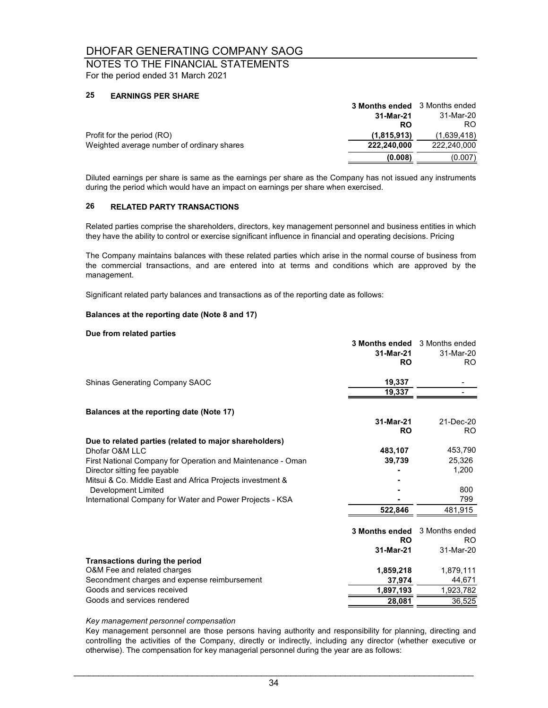### NOTES TO THE FINANCIAL STATEMENTS For the period ended 31 March 2021

#### **25 EARNINGS PER SHARE**

|                                            | <b>3 Months ended</b> 3 Months ended |             |
|--------------------------------------------|--------------------------------------|-------------|
|                                            | 31-Mar-21                            | 31-Mar-20   |
|                                            | RO                                   | RO.         |
| Profit for the period (RO)                 | (1,815,913)                          | (1,639,418) |
| Weighted average number of ordinary shares | 222.240.000                          | 222.240.000 |
|                                            | (0.008)                              | (0.007)     |

Diluted earnings per share is same as the earnings per share as the Company has not issued any instruments during the period which would have an impact on earnings per share when exercised.

#### **26 RELATED PARTY TRANSACTIONS**

Related parties comprise the shareholders, directors, key management personnel and business entities in which they have the ability to control or exercise significant influence in financial and operating decisions. Pricing

The Company maintains balances with these related parties which arise in the normal course of business from the commercial transactions, and are entered into at terms and conditions which are approved by the management.

Significant related party balances and transactions as of the reporting date as follows:

#### **Balances at the reporting date (Note 8 and 17)**

#### **Due from related parties**

|                                                             | <b>3 Months ended</b> | 3 Months ended |
|-------------------------------------------------------------|-----------------------|----------------|
|                                                             | 31-Mar-21             | 31-Mar-20      |
|                                                             | <b>RO</b>             | RO.            |
|                                                             |                       |                |
| Shinas Generating Company SAOC                              | 19,337                |                |
|                                                             | 19,337                |                |
|                                                             |                       |                |
| Balances at the reporting date (Note 17)                    |                       |                |
|                                                             | 31-Mar-21             | 21-Dec-20      |
|                                                             | <b>RO</b>             | RO.            |
| Due to related parties (related to major shareholders)      |                       |                |
| Dhofar O&M LLC                                              | 483,107               | 453,790        |
| First National Company for Operation and Maintenance - Oman | 39,739                | 25,326         |
| Director sitting fee payable                                |                       | 1,200          |
| Mitsui & Co. Middle East and Africa Projects investment &   |                       |                |
| Development Limited                                         |                       | 800            |
| International Company for Water and Power Projects - KSA    |                       | 799            |
|                                                             | 522,846               | 481,915        |
|                                                             |                       |                |
|                                                             | <b>3 Months ended</b> | 3 Months ended |
|                                                             | <b>RO</b>             | RO.            |
|                                                             | 31-Mar-21             | 31-Mar-20      |
| Transactions during the period                              |                       |                |
| O&M Fee and related charges                                 | 1,859,218             | 1,879,111      |
| Secondment charges and expense reimbursement                | 37,974                | 44,671         |
| Goods and services received                                 | 1,897,193             | 1,923,782      |
| Goods and services rendered                                 | 28,081                | 36,525         |
|                                                             |                       |                |

#### *Key management personnel compensation*

Key management personnel are those persons having authority and responsibility for planning, directing and controlling the activities of the Company, directly or indirectly, including any director (whether executive or otherwise). The compensation for key managerial personnel during the year are as follows: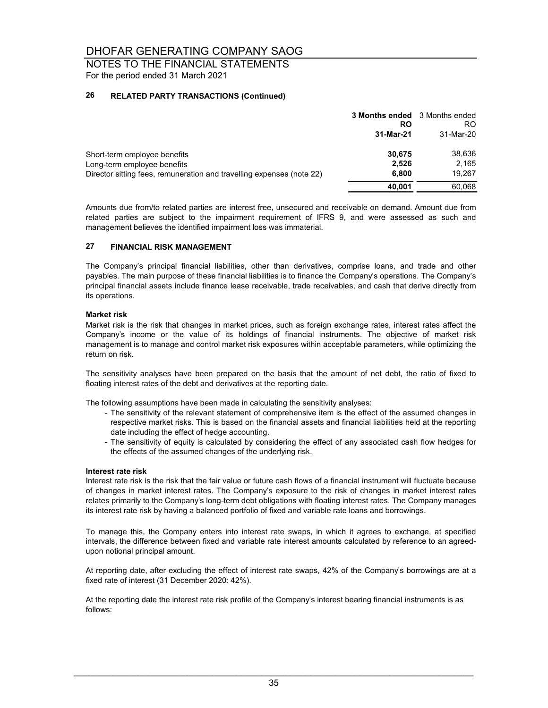# NOTES TO THE FINANCIAL STATEMENTS

For the period ended 31 March 2021

#### **26 RELATED PARTY TRANSACTIONS (Continued)**

|                                                                       | <b>3 Months ended</b> 3 Months ended |           |
|-----------------------------------------------------------------------|--------------------------------------|-----------|
|                                                                       | RO                                   | RO.       |
|                                                                       | 31-Mar-21                            | 31-Mar-20 |
| Short-term employee benefits                                          | 30,675                               | 38,636    |
| Long-term employee benefits                                           | 2.526                                | 2.165     |
| Director sitting fees, remuneration and travelling expenses (note 22) | 6.800                                | 19.267    |
|                                                                       | 40,001                               | 60,068    |

Amounts due from/to related parties are interest free, unsecured and receivable on demand. Amount due from related parties are subject to the impairment requirement of IFRS 9, and were assessed as such and management believes the identified impairment loss was immaterial.

#### **27 FINANCIAL RISK MANAGEMENT**

The Company's principal financial liabilities, other than derivatives, comprise loans, and trade and other payables. The main purpose of these financial liabilities is to finance the Company's operations. The Company's principal financial assets include finance lease receivable, trade receivables, and cash that derive directly from its operations.

#### **Market risk**

Market risk is the risk that changes in market prices, such as foreign exchange rates, interest rates affect the Company's income or the value of its holdings of financial instruments. The objective of market risk management is to manage and control market risk exposures within acceptable parameters, while optimizing the return on risk.

The sensitivity analyses have been prepared on the basis that the amount of net debt, the ratio of fixed to floating interest rates of the debt and derivatives at the reporting date.

The following assumptions have been made in calculating the sensitivity analyses:

- The sensitivity of the relevant statement of comprehensive item is the effect of the assumed changes in respective market risks. This is based on the financial assets and financial liabilities held at the reporting date including the effect of hedge accounting.
- The sensitivity of equity is calculated by considering the effect of any associated cash flow hedges for the effects of the assumed changes of the underlying risk.

#### **Interest rate risk**

Interest rate risk is the risk that the fair value or future cash flows of a financial instrument will fluctuate because of changes in market interest rates. The Company's exposure to the risk of changes in market interest rates relates primarily to the Company's long-term debt obligations with floating interest rates. The Company manages its interest rate risk by having a balanced portfolio of fixed and variable rate loans and borrowings.

To manage this, the Company enters into interest rate swaps, in which it agrees to exchange, at specified intervals, the difference between fixed and variable rate interest amounts calculated by reference to an agreedupon notional principal amount.

At reporting date, after excluding the effect of interest rate swaps, 42% of the Company's borrowings are at a fixed rate of interest (31 December 2020: 42%).

At the reporting date the interest rate risk profile of the Company's interest bearing financial instruments is as follows: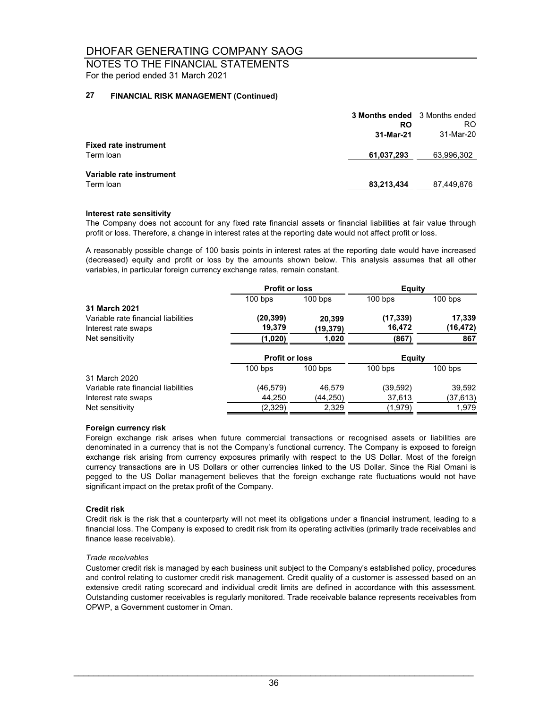# NOTES TO THE FINANCIAL STATEMENTS For the period ended 31 March 2021

#### **27 FINANCIAL RISK MANAGEMENT (Continued)**

|                              | <b>3 Months ended</b> 3 Months ended |            |
|------------------------------|--------------------------------------|------------|
|                              | <b>RO</b>                            | RO.        |
|                              | 31-Mar-21                            | 31-Mar-20  |
| <b>Fixed rate instrument</b> |                                      |            |
| Term Ioan                    | 61,037,293                           | 63,996,302 |
|                              |                                      |            |
| Variable rate instrument     |                                      |            |
| Term Ioan                    | 83,213,434                           | 87,449,876 |
|                              |                                      |            |

#### **Interest rate sensitivity**

The Company does not account for any fixed rate financial assets or financial liabilities at fair value through profit or loss. Therefore, a change in interest rates at the reporting date would not affect profit or loss.

A reasonably possible change of 100 basis points in interest rates at the reporting date would have increased (decreased) equity and profit or loss by the amounts shown below. This analysis assumes that all other variables, in particular foreign currency exchange rates, remain constant.

|                                                            | <b>Profit or loss</b> |                    | <b>Equity</b>       |                     |
|------------------------------------------------------------|-----------------------|--------------------|---------------------|---------------------|
| 31 March 2021                                              | $100$ bps             | $100$ bps          | $100$ bps           | $100$ bps           |
| Variable rate financial liabilities<br>Interest rate swaps | (20, 399)<br>19,379   | 20.399<br>(19,379) | (17, 339)<br>16,472 | 17,339<br>(16, 472) |
| Net sensitivity                                            | (1,020)               | 1,020              | (867)               | 867                 |
|                                                            | <b>Profit or loss</b> |                    | <b>Equity</b>       |                     |
|                                                            | $100$ bps             | $100$ bps          | $100$ bps           | $100$ bps           |
| 31 March 2020                                              |                       |                    |                     |                     |
| Variable rate financial liabilities                        | (46, 579)             | 46,579             | (39, 592)           | 39,592              |
| Interest rate swaps                                        | 44,250                | (44,250)           | 37,613              | (37,613)            |
| Net sensitivity                                            | (2,329)               | 2,329              | (1,979)             | 1.979               |

#### **Foreign currency risk**

Foreign exchange risk arises when future commercial transactions or recognised assets or liabilities are denominated in a currency that is not the Company's functional currency. The Company is exposed to foreign exchange risk arising from currency exposures primarily with respect to the US Dollar. Most of the foreign currency transactions are in US Dollars or other currencies linked to the US Dollar. Since the Rial Omani is pegged to the US Dollar management believes that the foreign exchange rate fluctuations would not have significant impact on the pretax profit of the Company.

#### **Credit risk**

Credit risk is the risk that a counterparty will not meet its obligations under a financial instrument, leading to a financial loss. The Company is exposed to credit risk from its operating activities (primarily trade receivables and finance lease receivable).

#### *Trade receivables*

Customer credit risk is managed by each business unit subject to the Company's established policy, procedures and control relating to customer credit risk management. Credit quality of a customer is assessed based on an extensive credit rating scorecard and individual credit limits are defined in accordance with this assessment. Outstanding customer receivables is regularly monitored. Trade receivable balance represents receivables from OPWP, a Government customer in Oman.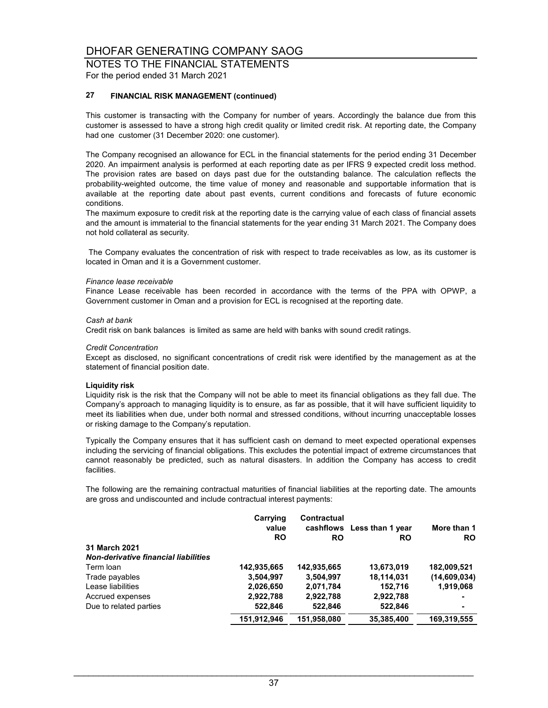# NOTES TO THE FINANCIAL STATEMENTS

For the period ended 31 March 2021

#### **27 FINANCIAL RISK MANAGEMENT (continued)**

This customer is transacting with the Company for number of years. Accordingly the balance due from this customer is assessed to have a strong high credit quality or limited credit risk. At reporting date, the Company had one customer (31 December 2020: one customer).

The Company recognised an allowance for ECL in the financial statements for the period ending 31 December 2020. An impairment analysis is performed at each reporting date as per IFRS 9 expected credit loss method. The provision rates are based on days past due for the outstanding balance. The calculation reflects the probability-weighted outcome, the time value of money and reasonable and supportable information that is available at the reporting date about past events, current conditions and forecasts of future economic conditions.

The maximum exposure to credit risk at the reporting date is the carrying value of each class of financial assets and the amount is immaterial to the financial statements for the year ending 31 March 2021. The Company does not hold collateral as security.

The Company evaluates the concentration of risk with respect to trade receivables as low, as its customer is located in Oman and it is a Government customer.

#### *Finance lease receivable*

Finance Lease receivable has been recorded in accordance with the terms of the PPA with OPWP, a Government customer in Oman and a provision for ECL is recognised at the reporting date.

#### *Cash at bank*

Credit risk on bank balances is limited as same are held with banks with sound credit ratings.

#### *Credit Concentration*

Except as disclosed, no significant concentrations of credit risk were identified by the management as at the statement of financial position date.

#### **Liquidity risk**

Liquidity risk is the risk that the Company will not be able to meet its financial obligations as they fall due. The Company's approach to managing liquidity is to ensure, as far as possible, that it will have sufficient liquidity to meet its liabilities when due, under both normal and stressed conditions, without incurring unacceptable losses or risking damage to the Company's reputation.

Typically the Company ensures that it has sufficient cash on demand to meet expected operational expenses including the servicing of financial obligations. This excludes the potential impact of extreme circumstances that cannot reasonably be predicted, such as natural disasters. In addition the Company has access to credit facilities.

The following are the remaining contractual maturities of financial liabilities at the reporting date. The amounts are gross and undiscounted and include contractual interest payments:

|                                             | Carrying    | Contractual |                            |              |
|---------------------------------------------|-------------|-------------|----------------------------|--------------|
|                                             | value       |             | cashflows Less than 1 year | More than 1  |
|                                             | <b>RO</b>   | RO          | <b>RO</b>                  | <b>RO</b>    |
| 31 March 2021                               |             |             |                            |              |
| <b>Non-derivative financial liabilities</b> |             |             |                            |              |
| Term Ioan                                   | 142,935,665 | 142,935,665 | 13,673,019                 | 182,009,521  |
| Trade payables                              | 3,504,997   | 3,504,997   | 18,114,031                 | (14,609,034) |
| Lease liabilities                           | 2,026,650   | 2,071,784   | 152.716                    | 1,919,068    |
| Accrued expenses                            | 2,922,788   | 2,922,788   | 2,922,788                  |              |
| Due to related parties                      | 522,846     | 522,846     | 522,846                    |              |
|                                             | 151.912.946 | 151.958.080 | 35,385,400                 | 169.319.555  |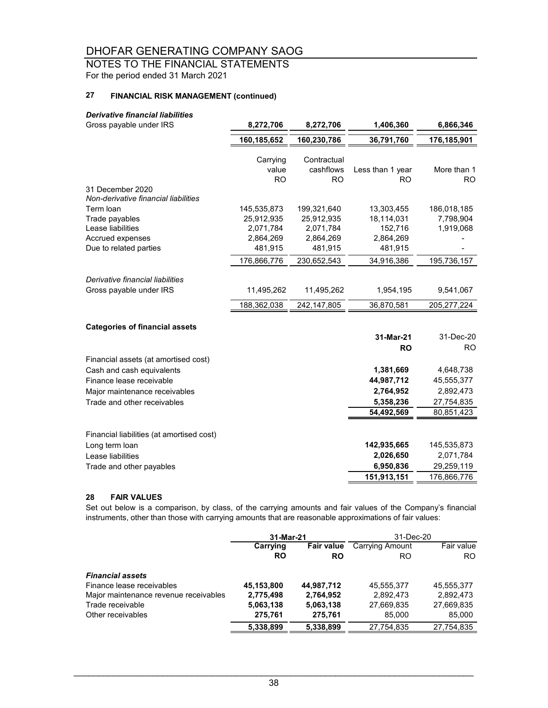# NOTES TO THE FINANCIAL STATEMENTS

For the period ended 31 March 2021

#### **27 FINANCIAL RISK MANAGEMENT (continued)**

#### *Derivative financial liabilities*

| Gross payable under IRS              | 8,272,706                | 8,272,706                       | 1,406,360               | 6,866,346          |
|--------------------------------------|--------------------------|---------------------------------|-------------------------|--------------------|
|                                      | 160,185,652              | 160,230,786                     | 36,791,760              | 176,185,901        |
|                                      | Carrying<br>value<br>RO. | Contractual<br>cashflows<br>RO. | Less than 1 year<br>RO. | More than 1<br>RO. |
| 31 December 2020                     |                          |                                 |                         |                    |
| Non-derivative financial liabilities |                          |                                 |                         |                    |
| Term Ioan                            | 145,535,873              | 199,321,640                     | 13,303,455              | 186,018,185        |
| Trade payables                       | 25,912,935               | 25,912,935                      | 18,114,031              | 7,798,904          |
| Lease liabilities                    | 2,071,784                | 2,071,784                       | 152,716                 | 1,919,068          |
| Accrued expenses                     | 2,864,269                | 2,864,269                       | 2,864,269               |                    |
| Due to related parties               | 481,915                  | 481,915                         | 481,915                 |                    |
|                                      | 176,866,776              | 230,652,543                     | 34,916,386              | 195,736,157        |
| Derivative financial liabilities     |                          |                                 |                         |                    |
| Gross payable under IRS              | 11,495,262               | 11,495,262                      | 1,954,195               | 9,541,067          |
|                                      | 188,362,038              | 242,147,805                     | 36,870,581              | 205, 277, 224      |
|                                      |                          |                                 |                         |                    |

#### **Categories of financial assets**

|                                           | 31-Mar-21   | 31-Dec-20   |
|-------------------------------------------|-------------|-------------|
|                                           | <b>RO</b>   | RO.         |
| Financial assets (at amortised cost)      |             |             |
| Cash and cash equivalents                 | 1,381,669   | 4,648,738   |
| Finance lease receivable                  | 44,987,712  | 45.555.377  |
| Major maintenance receivables             | 2,764,952   | 2,892,473   |
| Trade and other receivables               | 5,358,236   | 27,754,835  |
|                                           | 54,492,569  | 80,851,423  |
| Financial liabilities (at amortised cost) |             |             |
| Long term loan                            | 142,935,665 | 145,535,873 |
| Lease liabilities                         | 2,026,650   | 2.071.784   |
| Trade and other payables                  | 6,950,836   | 29,259,119  |
|                                           | 151,913,151 | 176.866.776 |

### **28 FAIR VALUES**

Set out below is a comparison, by class, of the carrying amounts and fair values of the Company's financial instruments, other than those with carrying amounts that are reasonable approximations of fair values:

|                                       | 31-Mar-21  |                   | 31-Dec-20              |            |
|---------------------------------------|------------|-------------------|------------------------|------------|
|                                       | Carrying   | <b>Fair value</b> | <b>Carrying Amount</b> | Fair value |
|                                       | <b>RO</b>  | <b>RO</b>         | RO                     | <b>RO</b>  |
| <b>Financial assets</b>               |            |                   |                        |            |
| Finance lease receivables             | 45,153,800 | 44,987,712        | 45.555.377             | 45.555.377 |
| Major maintenance revenue receivables | 2,775,498  | 2,764,952         | 2,892,473              | 2,892,473  |
| Trade receivable                      | 5,063,138  | 5,063,138         | 27,669,835             | 27,669,835 |
| Other receivables                     | 275,761    | 275,761           | 85,000                 | 85,000     |
|                                       | 5.338.899  | 5.338.899         | 27.754.835             | 27.754.835 |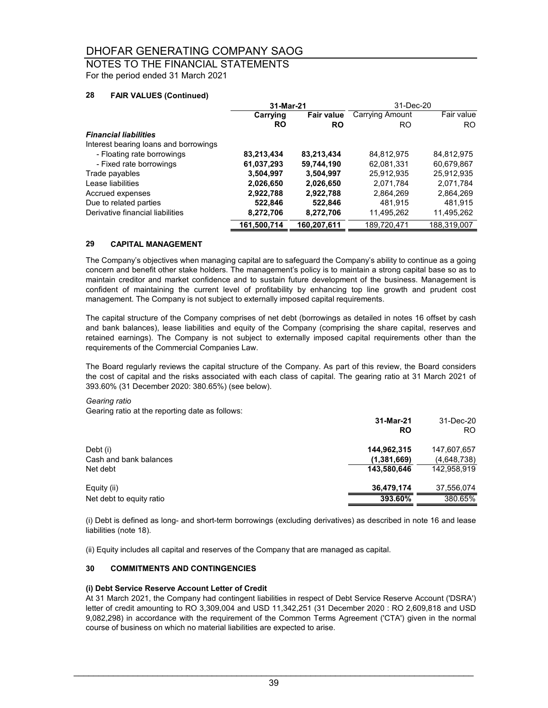### NOTES TO THE FINANCIAL STATEMENTS For the period ended 31 March 2021

#### **28 FAIR VALUES (Continued)**

|                                       | 31-Mar-21   |             | 31-Dec-20              |             |
|---------------------------------------|-------------|-------------|------------------------|-------------|
|                                       | Carrying    | Fair value  | <b>Carrying Amount</b> | Fair value  |
|                                       | <b>RO</b>   | RO          | R <sub>O</sub>         | RO.         |
| <b>Financial liabilities</b>          |             |             |                        |             |
| Interest bearing loans and borrowings |             |             |                        |             |
| - Floating rate borrowings            | 83,213,434  | 83,213,434  | 84,812,975             | 84,812,975  |
| - Fixed rate borrowings               | 61.037,293  | 59,744,190  | 62,081,331             | 60,679,867  |
| Trade payables                        | 3,504,997   | 3,504,997   | 25,912,935             | 25.912.935  |
| Lease liabilities                     | 2,026,650   | 2,026,650   | 2,071,784              | 2,071,784   |
| Accrued expenses                      | 2,922,788   | 2,922,788   | 2,864,269              | 2,864,269   |
| Due to related parties                | 522,846     | 522,846     | 481.915                | 481.915     |
| Derivative financial liabilities      | 8,272,706   | 8,272,706   | 11,495,262             | 11,495,262  |
|                                       | 161,500,714 | 160.207.611 | 189.720.471            | 188.319.007 |

#### **29 CAPITAL MANAGEMENT**

The Company's objectives when managing capital are to safeguard the Company's ability to continue as a going concern and benefit other stake holders. The management's policy is to maintain a strong capital base so as to maintain creditor and market confidence and to sustain future development of the business. Management is confident of maintaining the current level of profitability by enhancing top line growth and prudent cost management. The Company is not subject to externally imposed capital requirements.

The capital structure of the Company comprises of net debt (borrowings as detailed in notes 16 offset by cash and bank balances), lease liabilities and equity of the Company (comprising the share capital, reserves and retained earnings). The Company is not subject to externally imposed capital requirements other than the requirements of the Commercial Companies Law.

The Board regularly reviews the capital structure of the Company. As part of this review, the Board considers the cost of capital and the risks associated with each class of capital. The gearing ratio at 31 March 2021 of 393.60% (31 December 2020: 380.65%) (see below).

#### *Gearing ratio*

Gearing ratio at the reporting date as follows:

|                          | 31-Mar-21<br><b>RO</b> | 31-Dec-20<br>RO. |
|--------------------------|------------------------|------------------|
| Debt (i)                 | 144,962,315            | 147,607,657      |
| Cash and bank balances   | (1,381,669)            | (4,648,738)      |
| Net debt                 | 143,580,646            | 142.958.919      |
| Equity (ii)              | 36.479.174             | 37,556,074       |
| Net debt to equity ratio | 393.60%                | 380.65%          |
|                          |                        |                  |

(i) Debt is defined as long- and short-term borrowings (excluding derivatives) as described in note 16 and lease liabilities (note 18).

(ii) Equity includes all capital and reserves of the Company that are managed as capital.

### **30 COMMITMENTS AND CONTINGENCIES**

#### **(i) Debt Service Reserve Account Letter of Credit**

At 31 March 2021, the Company had contingent liabilities in respect of Debt Service Reserve Account ('DSRA') letter of credit amounting to RO 3,309,004 and USD 11,342,251 (31 December 2020 : RO 2,609,818 and USD 9,082,298) in accordance with the requirement of the Common Terms Agreement ('CTA') given in the normal course of business on which no material liabilities are expected to arise.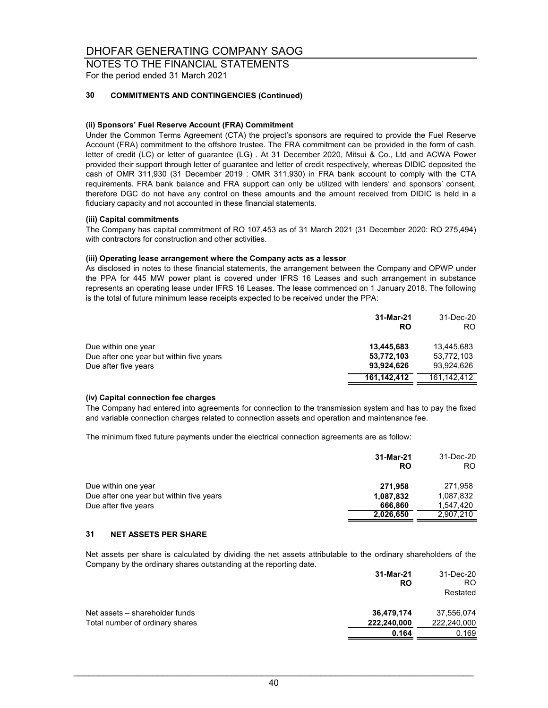# NOTES TO THE FINANCIAL STATEMENTS

For the period ended 31 March 2021

### **30 COMMITMENTS AND CONTINGENCIES (Continued)**

#### **(ii) Sponsors' Fuel Reserve Account (FRA) Commitment**

Under the Common Terms Agreement (CTA) the project's sponsors are required to provide the Fuel Reserve Account (FRA) commitment to the offshore trustee. The FRA commitment can be provided in the form of cash, letter of credit (LC) or letter of guarantee (LG) . At 31 December 2020, Mitsui & Co., Ltd and ACWA Power provided their support through letter of guarantee and letter of credit respectively, whereas DIDIC deposited the cash of OMR 311,930 (31 December 2019 : OMR 311,930) in FRA bank account to comply with the CTA requirements. FRA bank balance and FRA support can only be utilized with lenders' and sponsors' consent, therefore DGC do not have any control on these amounts and the amount received from DIDIC is held in a fiduciary capacity and not accounted in these financial statements.

#### **(iii) Capital commitments**

The Company has capital commitment of RO 107,453 as of 31 March 2021 (31 December 2020: RO 275,494) with contractors for construction and other activities.

#### **(iii) Operating lease arrangement where the Company acts as a lessor**

As disclosed in notes to these financial statements, the arrangement between the Company and OPWP under the PPA for 445 MW power plant is covered under IFRS 16 Leases and such arrangement in substance represents an operating lease under IFRS 16 Leases. The lease commenced on 1 January 2018. The following is the total of future minimum lease receipts expected to be received under the PPA:

|                                                                 | 31-Mar-21<br>RO          | 31-Dec-20<br>RO.         |
|-----------------------------------------------------------------|--------------------------|--------------------------|
| Due within one year<br>Due after one year but within five years | 13,445,683<br>53,772,103 | 13.445.683<br>53,772,103 |
| Due after five years                                            | 93,924,626               | 93,924,626               |
|                                                                 | 161,142,412              | 161,142,412              |

#### **(iv) Capital connection fee charges**

The Company had entered into agreements for connection to the transmission system and has to pay the fixed and variable connection charges related to connection assets and operation and maintenance fee.

The minimum fixed future payments under the electrical connection agreements are as follow:

|                                          | 31-Mar-21<br><b>RO</b> | 31-Dec-20<br>RO. |
|------------------------------------------|------------------------|------------------|
| Due within one year                      | 271.958                | 271.958          |
| Due after one year but within five years | 1,087,832              | 1,087,832        |
| Due after five years                     | 666,860                | 1,547,420        |
|                                          | 2,026,650              | 2,907,210        |

### **31 NET ASSETS PER SHARE**

Net assets per share is calculated by dividing the net assets attributable to the ordinary shareholders of the Company by the ordinary shares outstanding at the reporting date.

|                                 | 31-Mar-21   | 31-Dec-20   |
|---------------------------------|-------------|-------------|
|                                 | RO          | RO.         |
|                                 |             | Restated    |
| Net assets – shareholder funds  | 36,479,174  | 37.556.074  |
| Total number of ordinary shares | 222,240,000 | 222,240,000 |
|                                 | 0.164       | 0.169       |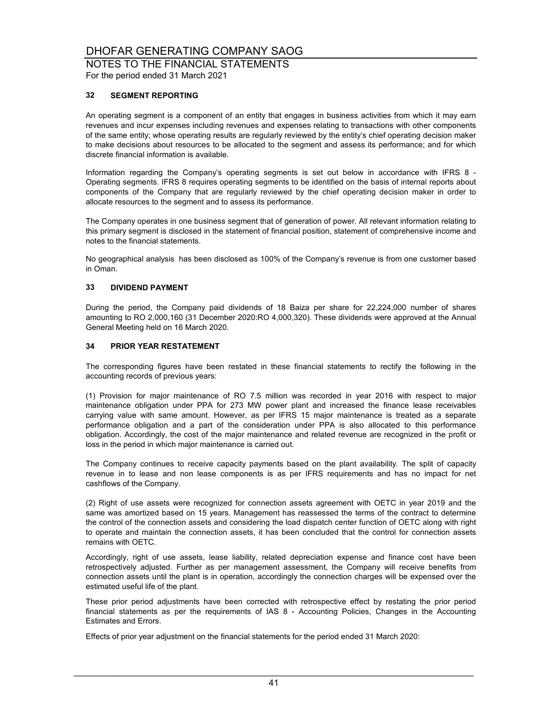# NOTES TO THE FINANCIAL STATEMENTS

For the period ended 31 March 2021

### **32 SEGMENT REPORTING**

An operating segment is a component of an entity that engages in business activities from which it may earn revenues and incur expenses including revenues and expenses relating to transactions with other components of the same entity; whose operating results are regularly reviewed by the entity's chief operating decision maker to make decisions about resources to be allocated to the segment and assess its performance; and for which discrete financial information is available.

Information regarding the Company's operating segments is set out below in accordance with IFRS 8 - Operating segments. IFRS 8 requires operating segments to be identified on the basis of internal reports about components of the Company that are regularly reviewed by the chief operating decision maker in order to allocate resources to the segment and to assess its performance.

The Company operates in one business segment that of generation of power. All relevant information relating to this primary segment is disclosed in the statement of financial position, statement of comprehensive income and notes to the financial statements.

No geographical analysis has been disclosed as 100% of the Company's revenue is from one customer based in Oman.

#### **33 DIVIDEND PAYMENT**

During the period, the Company paid dividends of 18 Baiza per share for 22,224,000 number of shares amounting to RO 2,000,160 (31 December 2020:RO 4,000,320). These dividends were approved at the Annual General Meeting held on 16 March 2020.

#### **34 PRIOR YEAR RESTATEMENT**

The corresponding figures have been restated in these financial statements to rectify the following in the accounting records of previous years:

(1) Provision for major maintenance of RO 7.5 million was recorded in year 2016 with respect to major maintenance obligation under PPA for 273 MW power plant and increased the finance lease receivables carrying value with same amount. However, as per IFRS 15 major maintenance is treated as a separate performance obligation and a part of the consideration under PPA is also allocated to this performance obligation. Accordingly, the cost of the major maintenance and related revenue are recognized in the profit or loss in the period in which major maintenance is carried out.

The Company continues to receive capacity payments based on the plant availability. The split of capacity revenue in to lease and non lease components is as per IFRS requirements and has no impact for net cashflows of the Company.

(2) Right of use assets were recognized for connection assets agreement with OETC in year 2019 and the same was amortized based on 15 years. Management has reassessed the terms of the contract to determine the control of the connection assets and considering the load dispatch center function of OETC along with right to operate and maintain the connection assets, it has been concluded that the control for connection assets remains with OETC.

Accordingly, right of use assets, lease liability, related depreciation expense and finance cost have been retrospectively adjusted. Further as per management assessment, the Company will receive benefits from connection assets until the plant is in operation, accordingly the connection charges will be expensed over the estimated useful life of the plant.

These prior period adjustments have been corrected with retrospective effect by restating the prior period financial statements as per the requirements of IAS 8 - Accounting Policies, Changes in the Accounting Estimates and Errors.

Effects of prior year adjustment on the financial statements for the period ended 31 March 2020: